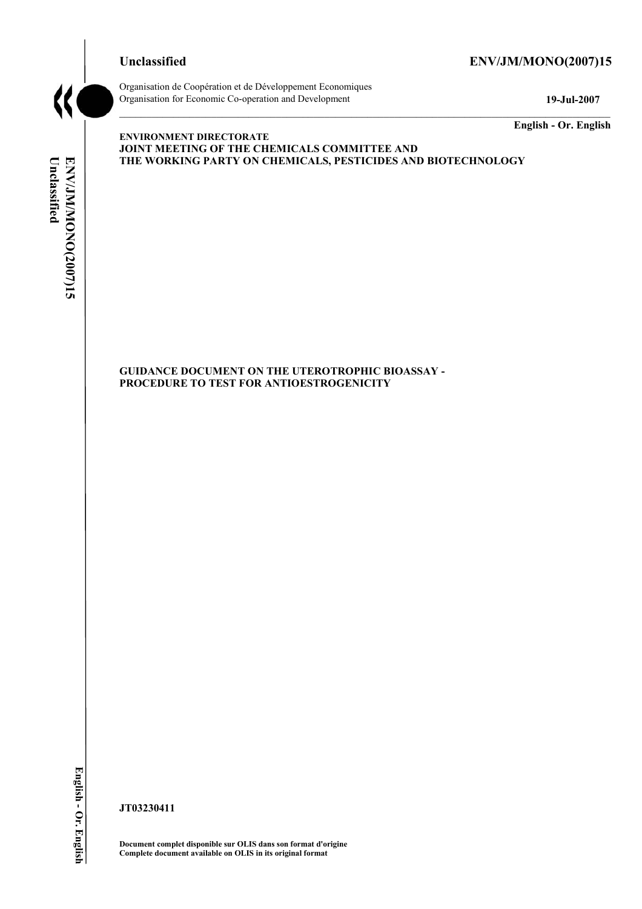# **Unclassified ENV/JM/MONO(2007)15**



Organisation de Coopération et de Développement Economiques Organisation for Economic Co-operation and Development **19-Jul-2007** 

**English - Or. English** 

# Unclassified ENV/JM/MONO(2007)15 **Unclassified ENV/JM/MONO(2007)15 English - Or. English**

#### **ENVIRONMENT DIRECTORATE JOINT MEETING OF THE CHEMICALS COMMITTEE AND THE WORKING PARTY ON CHEMICALS, PESTICIDES AND BIOTECHNOLOGY**

**GUIDANCE DOCUMENT ON THE UTEROTROPHIC BIOASSAY - PROCEDURE TO TEST FOR ANTIOESTROGENICITY** 

**JT03230411** 

**Document complet disponible sur OLIS dans son format d'origine Complete document available on OLIS in its original format**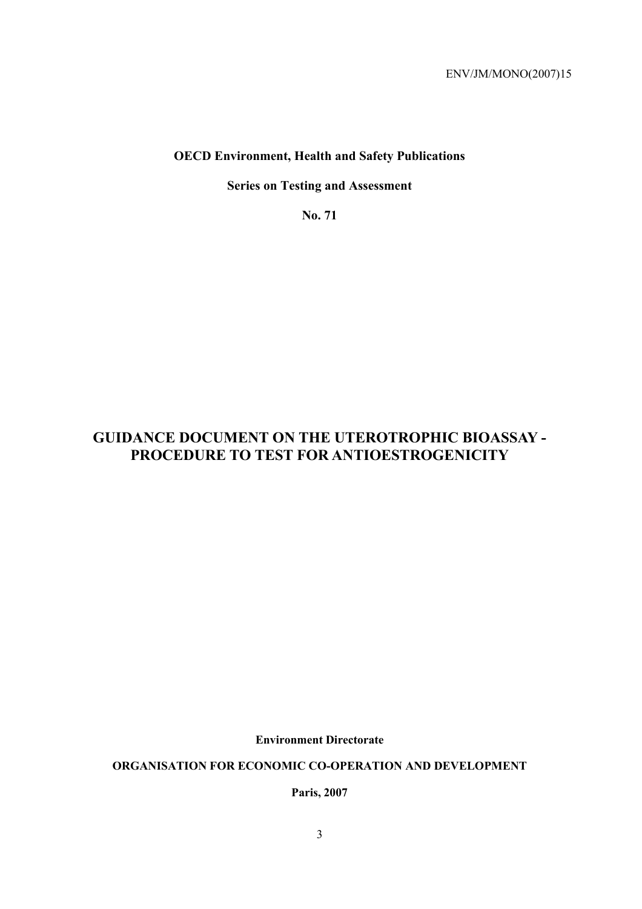# **OECD Environment, Health and Safety Publications**

**Series on Testing and Assessment** 

**No. 71** 

# **GUIDANCE DOCUMENT ON THE UTEROTROPHIC BIOASSAY - PROCEDURE TO TEST FOR ANTIOESTROGENICITY**

**Environment Directorate** 

**ORGANISATION FOR ECONOMIC CO-OPERATION AND DEVELOPMENT** 

**Paris, 2007**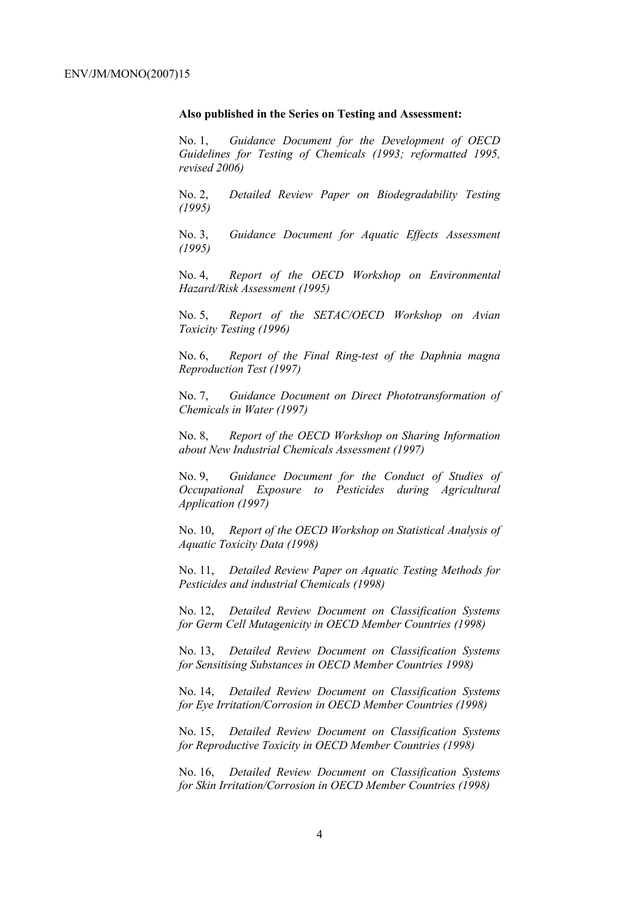#### **Also published in the Series on Testing and Assessment:**

No. 1, *Guidance Document for the Development of OECD Guidelines for Testing of Chemicals (1993; reformatted 1995, revised 2006)*

No. 2, *Detailed Review Paper on Biodegradability Testing (1995)*

No. 3, *Guidance Document for Aquatic Effects Assessment (1995)* 

No. 4, *Report of the OECD Workshop on Environmental Hazard/Risk Assessment (1995)*

No. 5, *Report of the SETAC/OECD Workshop on Avian Toxicity Testing (1996)*

No. 6, *Report of the Final Ring-test of the Daphnia magna Reproduction Test (1997)*

No. 7, *Guidance Document on Direct Phototransformation of Chemicals in Water (1997)* 

No. 8, *Report of the OECD Workshop on Sharing Information about New Industrial Chemicals Assessment (1997)*

No. 9, *Guidance Document for the Conduct of Studies of Occupational Exposure to Pesticides during Agricultural Application (1997)*

No. 10, *Report of the OECD Workshop on Statistical Analysis of Aquatic Toxicity Data (1998)*

No. 11, *Detailed Review Paper on Aquatic Testing Methods for Pesticides and industrial Chemicals (1998)*

No. 12, *Detailed Review Document on Classification Systems for Germ Cell Mutagenicity in OECD Member Countries (1998)*

No. 13, *Detailed Review Document on Classification Systems for Sensitising Substances in OECD Member Countries 1998)*

No. 14, *Detailed Review Document on Classification Systems for Eye Irritation/Corrosion in OECD Member Countries (1998)*

No. 15, *Detailed Review Document on Classification Systems for Reproductive Toxicity in OECD Member Countries (1998)*

No. 16, *Detailed Review Document on Classification Systems for Skin Irritation/Corrosion in OECD Member Countries (1998)*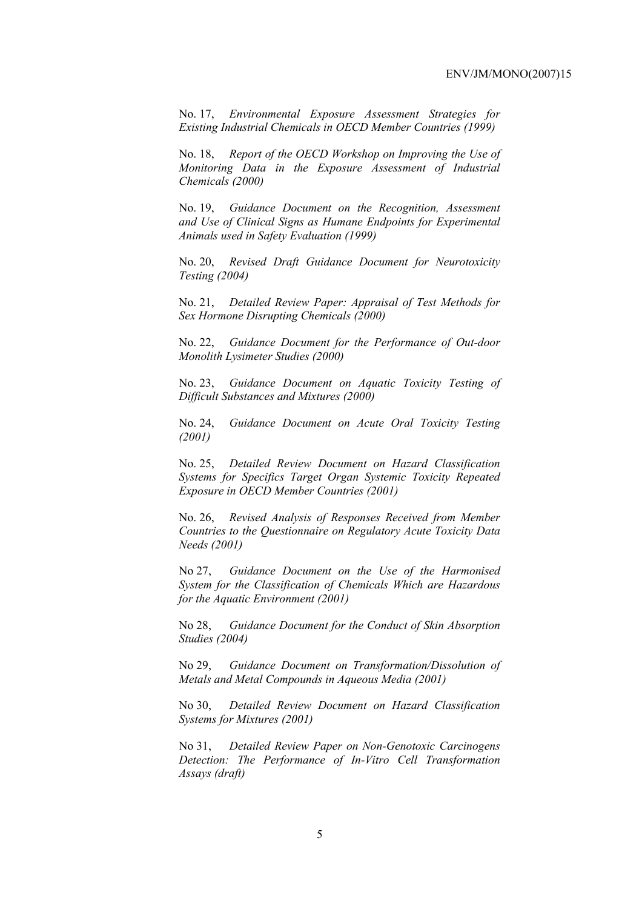No. 17, *Environmental Exposure Assessment Strategies for Existing Industrial Chemicals in OECD Member Countries (1999)*

No. 18, *Report of the OECD Workshop on Improving the Use of Monitoring Data in the Exposure Assessment of Industrial Chemicals (2000)*

No. 19, *Guidance Document on the Recognition, Assessment and Use of Clinical Signs as Humane Endpoints for Experimental Animals used in Safety Evaluation (1999)*

No. 20, *Revised Draft Guidance Document for Neurotoxicity Testing (2004)*

No. 21, *Detailed Review Paper: Appraisal of Test Methods for Sex Hormone Disrupting Chemicals (2000)*

No. 22, *Guidance Document for the Performance of Out-door Monolith Lysimeter Studies (2000)*

No. 23, *Guidance Document on Aquatic Toxicity Testing of Difficult Substances and Mixtures (2000)*

No. 24, *Guidance Document on Acute Oral Toxicity Testing (2001)*

No. 25, *Detailed Review Document on Hazard Classification Systems for Specifics Target Organ Systemic Toxicity Repeated Exposure in OECD Member Countries (2001)*

No. 26, *Revised Analysis of Responses Received from Member Countries to the Questionnaire on Regulatory Acute Toxicity Data Needs (2001)*

No 27, *Guidance Document on the Use of the Harmonised System for the Classification of Chemicals Which are Hazardous for the Aquatic Environment (2001)*

No 28, *Guidance Document for the Conduct of Skin Absorption Studies (2004)*

No 29, *Guidance Document on Transformation/Dissolution of Metals and Metal Compounds in Aqueous Media (2001)*

No 30, *Detailed Review Document on Hazard Classification Systems for Mixtures (2001)*

No 31, *Detailed Review Paper on Non-Genotoxic Carcinogens Detection: The Performance of In-Vitro Cell Transformation Assays (draft)*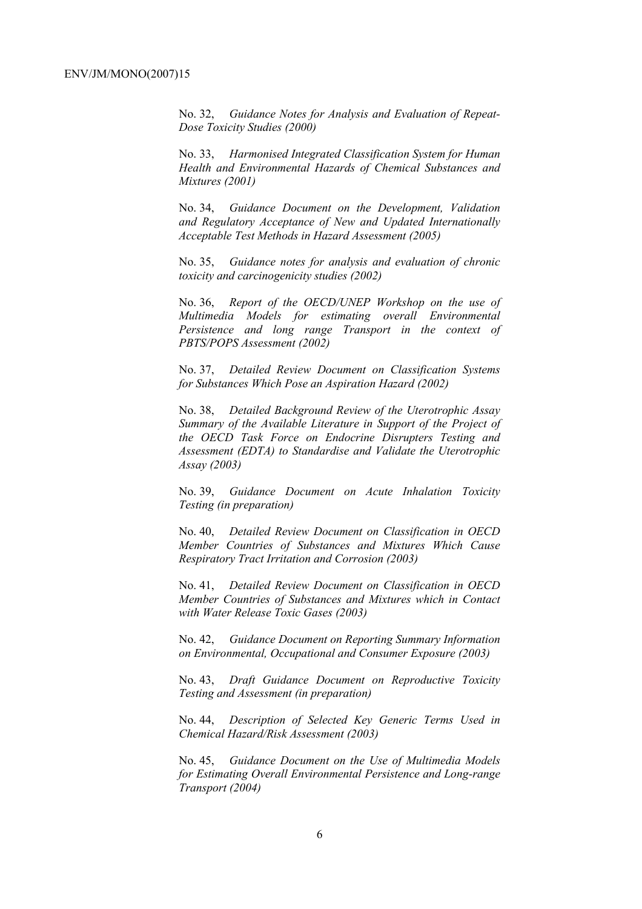No. 32, *Guidance Notes for Analysis and Evaluation of Repeat-Dose Toxicity Studies (2000)*

No. 33, *Harmonised Integrated Classification System for Human Health and Environmental Hazards of Chemical Substances and Mixtures (2001)*

No. 34, *Guidance Document on the Development, Validation and Regulatory Acceptance of New and Updated Internationally Acceptable Test Methods in Hazard Assessment (2005)*

No. 35, *Guidance notes for analysis and evaluation of chronic toxicity and carcinogenicity studies (2002)*

No. 36, *Report of the OECD/UNEP Workshop on the use of Multimedia Models for estimating overall Environmental Persistence and long range Transport in the context of PBTS/POPS Assessment (2002)*

No. 37, *Detailed Review Document on Classification Systems for Substances Which Pose an Aspiration Hazard (2002)*

No. 38, *Detailed Background Review of the Uterotrophic Assay Summary of the Available Literature in Support of the Project of the OECD Task Force on Endocrine Disrupters Testing and Assessment (EDTA) to Standardise and Validate the Uterotrophic Assay (2003)*

No. 39, *Guidance Document on Acute Inhalation Toxicity Testing (in preparation)*

No. 40, *Detailed Review Document on Classification in OECD Member Countries of Substances and Mixtures Which Cause Respiratory Tract Irritation and Corrosion (2003)*

No. 41, *Detailed Review Document on Classification in OECD Member Countries of Substances and Mixtures which in Contact with Water Release Toxic Gases (2003)*

No. 42, *Guidance Document on Reporting Summary Information on Environmental, Occupational and Consumer Exposure (2003)*

No. 43, *Draft Guidance Document on Reproductive Toxicity Testing and Assessment (in preparation)*

No. 44, *Description of Selected Key Generic Terms Used in Chemical Hazard/Risk Assessment (2003)* 

No. 45, *Guidance Document on the Use of Multimedia Models for Estimating Overall Environmental Persistence and Long-range Transport (2004)*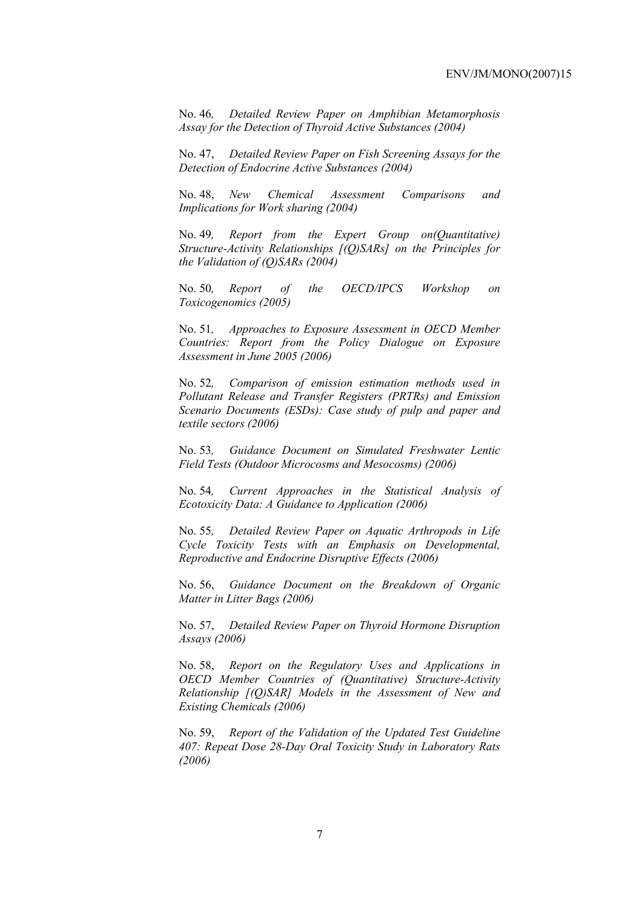No. 46*, Detailed Review Paper on Amphibian Metamorphosis Assay for the Detection of Thyroid Active Substances (2004)* 

No. 47, *Detailed Review Paper on Fish Screening Assays for the Detection of Endocrine Active Substances (2004)* 

No. 48, *New Chemical Assessment Comparisons and Implications for Work sharing (2004)* 

No. 49*, Report from the Expert Group on(Quantitative) Structure-Activity Relationships [(Q)SARs] on the Principles for the Validation of (Q)SARs (2004)* 

No. 50*, Report of the OECD/IPCS Workshop on Toxicogenomics (2005)* 

No. 51*, Approaches to Exposure Assessment in OECD Member Countries: Report from the Policy Dialogue on Exposure Assessment in June 2005 (2006)* 

No. 52*, Comparison of emission estimation methods used in Pollutant Release and Transfer Registers (PRTRs) and Emission Scenario Documents (ESDs): Case study of pulp and paper and textile sectors (2006)* 

No. 53*, Guidance Document on Simulated Freshwater Lentic Field Tests (Outdoor Microcosms and Mesocosms) (2006)* 

No. 54*, Current Approaches in the Statistical Analysis of Ecotoxicity Data: A Guidance to Application (2006)* 

No. 55*, Detailed Review Paper on Aquatic Arthropods in Life Cycle Toxicity Tests with an Emphasis on Developmental, Reproductive and Endocrine Disruptive Effects (2006)* 

No. 56, *Guidance Document on the Breakdown of Organic Matter in Litter Bags (2006)* 

No. 57, *Detailed Review Paper on Thyroid Hormone Disruption Assays (2006)* 

No. 58, *Report on the Regulatory Uses and Applications in OECD Member Countries of (Quantitative) Structure-Activity Relationship [(Q)SAR] Models in the Assessment of New and Existing Chemicals (2006)* 

No. 59, *Report of the Validation of the Updated Test Guideline 407: Repeat Dose 28-Day Oral Toxicity Study in Laboratory Rats (2006)*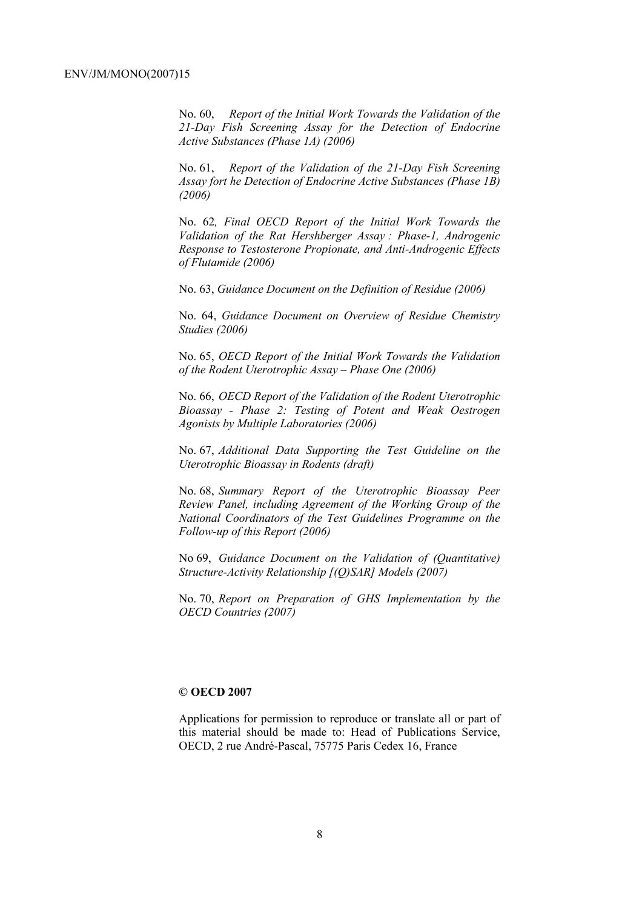No. 60, *Report of the Initial Work Towards the Validation of the 21-Day Fish Screening Assay for the Detection of Endocrine Active Substances (Phase 1A) (2006)* 

No. 61, *Report of the Validation of the 21-Day Fish Screening Assay fort he Detection of Endocrine Active Substances (Phase 1B) (2006)* 

No. 62*, Final OECD Report of the Initial Work Towards the Validation of the Rat Hershberger Assay : Phase-1, Androgenic Response to Testosterone Propionate, and Anti-Androgenic Effects of Flutamide (2006)* 

No. 63, *Guidance Document on the Definition of Residue (2006)* 

No. 64, *Guidance Document on Overview of Residue Chemistry Studies (2006)* 

No. 65, *OECD Report of the Initial Work Towards the Validation of the Rodent Uterotrophic Assay – Phase One (2006)* 

No. 66, *OECD Report of the Validation of the Rodent Uterotrophic Bioassay - Phase 2: Testing of Potent and Weak Oestrogen Agonists by Multiple Laboratories (2006)* 

No. 67, *Additional Data Supporting the Test Guideline on the Uterotrophic Bioassay in Rodents (draft)* 

No. 68, *Summary Report of the Uterotrophic Bioassay Peer Review Panel, including Agreement of the Working Group of the National Coordinators of the Test Guidelines Programme on the Follow-up of this Report (2006)*

No 69, *Guidance Document on the Validation of (Quantitative) Structure-Activity Relationship [(Q)SAR] Models (2007)* 

No. 70, *Report on Preparation of GHS Implementation by the OECD Countries (2007)* 

#### **© OECD 2007**

Applications for permission to reproduce or translate all or part of this material should be made to: Head of Publications Service, OECD, 2 rue André-Pascal, 75775 Paris Cedex 16, France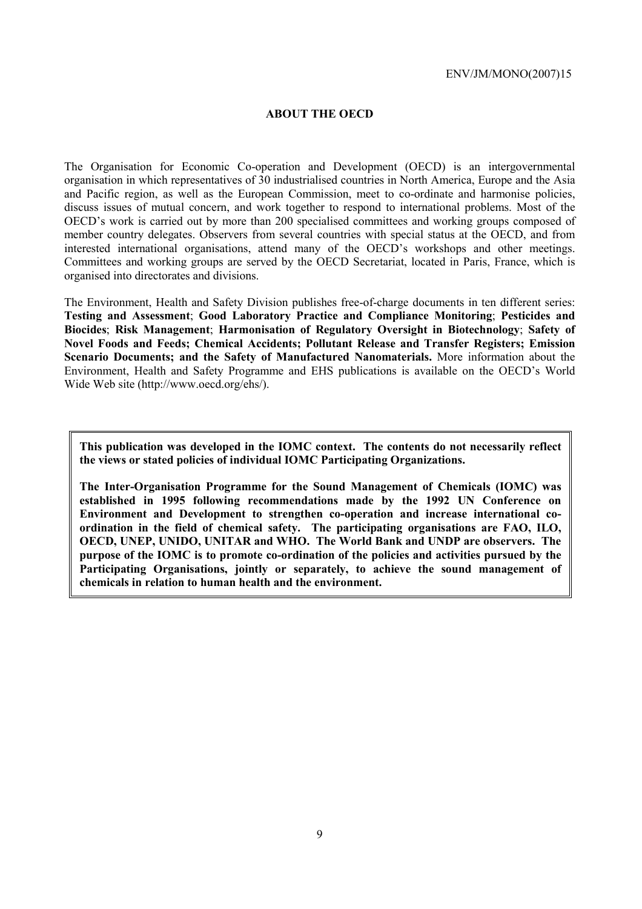#### **ABOUT THE OECD**

The Organisation for Economic Co-operation and Development (OECD) is an intergovernmental organisation in which representatives of 30 industrialised countries in North America, Europe and the Asia and Pacific region, as well as the European Commission, meet to co-ordinate and harmonise policies, discuss issues of mutual concern, and work together to respond to international problems. Most of the OECD's work is carried out by more than 200 specialised committees and working groups composed of member country delegates. Observers from several countries with special status at the OECD, and from interested international organisations, attend many of the OECD's workshops and other meetings. Committees and working groups are served by the OECD Secretariat, located in Paris, France, which is organised into directorates and divisions.

The Environment, Health and Safety Division publishes free-of-charge documents in ten different series: **Testing and Assessment**; **Good Laboratory Practice and Compliance Monitoring**; **Pesticides and Biocides**; **Risk Management**; **Harmonisation of Regulatory Oversight in Biotechnology**; **Safety of Novel Foods and Feeds; Chemical Accidents; Pollutant Release and Transfer Registers; Emission Scenario Documents; and the Safety of Manufactured Nanomaterials.** More information about the Environment, Health and Safety Programme and EHS publications is available on the OECD's World Wide Web site (http://www.oecd.org/ehs/).

**This publication was developed in the IOMC context. The contents do not necessarily reflect the views or stated policies of individual IOMC Participating Organizations.** 

**The Inter-Organisation Programme for the Sound Management of Chemicals (IOMC) was established in 1995 following recommendations made by the 1992 UN Conference on Environment and Development to strengthen co-operation and increase international coordination in the field of chemical safety. The participating organisations are FAO, ILO, OECD, UNEP, UNIDO, UNITAR and WHO. The World Bank and UNDP are observers. The purpose of the IOMC is to promote co-ordination of the policies and activities pursued by the Participating Organisations, jointly or separately, to achieve the sound management of chemicals in relation to human health and the environment.**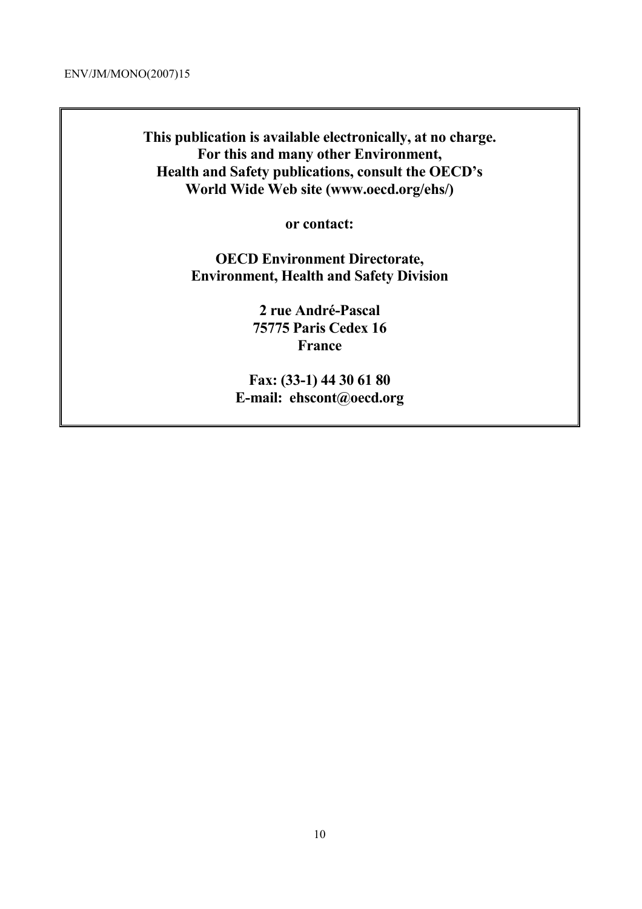**This publication is available electronically, at no charge. For this and many other Environment, Health and Safety publications, consult the OECD's World Wide Web site (www.oecd.org/ehs/)** 

**or contact:** 

**OECD Environment Directorate, Environment, Health and Safety Division** 

> **2 rue André-Pascal 75775 Paris Cedex 16 France**

**Fax: (33-1) 44 30 61 80 E-mail: ehscont@oecd.org**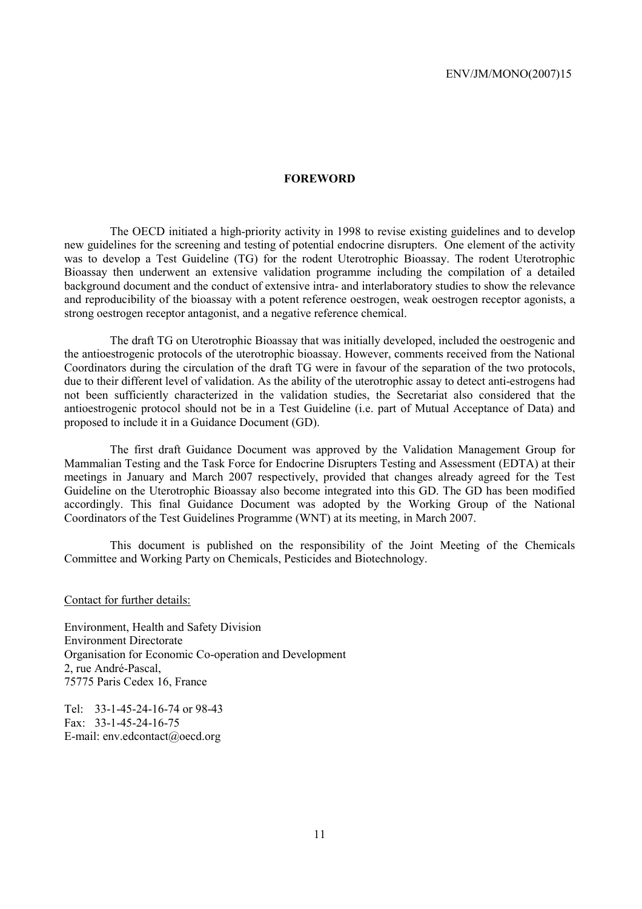#### **FOREWORD**

 The OECD initiated a high-priority activity in 1998 to revise existing guidelines and to develop new guidelines for the screening and testing of potential endocrine disrupters. One element of the activity was to develop a Test Guideline (TG) for the rodent Uterotrophic Bioassay. The rodent Uterotrophic Bioassay then underwent an extensive validation programme including the compilation of a detailed background document and the conduct of extensive intra- and interlaboratory studies to show the relevance and reproducibility of the bioassay with a potent reference oestrogen, weak oestrogen receptor agonists, a strong oestrogen receptor antagonist, and a negative reference chemical.

 The draft TG on Uterotrophic Bioassay that was initially developed, included the oestrogenic and the antioestrogenic protocols of the uterotrophic bioassay. However, comments received from the National Coordinators during the circulation of the draft TG were in favour of the separation of the two protocols, due to their different level of validation. As the ability of the uterotrophic assay to detect anti-estrogens had not been sufficiently characterized in the validation studies, the Secretariat also considered that the antioestrogenic protocol should not be in a Test Guideline (i.e. part of Mutual Acceptance of Data) and proposed to include it in a Guidance Document (GD).

 The first draft Guidance Document was approved by the Validation Management Group for Mammalian Testing and the Task Force for Endocrine Disrupters Testing and Assessment (EDTA) at their meetings in January and March 2007 respectively, provided that changes already agreed for the Test Guideline on the Uterotrophic Bioassay also become integrated into this GD. The GD has been modified accordingly. This final Guidance Document was adopted by the Working Group of the National Coordinators of the Test Guidelines Programme (WNT) at its meeting, in March 2007.

 This document is published on the responsibility of the Joint Meeting of the Chemicals Committee and Working Party on Chemicals, Pesticides and Biotechnology.

Contact for further details:

Environment, Health and Safety Division Environment Directorate Organisation for Economic Co-operation and Development 2, rue André-Pascal, 75775 Paris Cedex 16, France

Tel: 33-1-45-24-16-74 or 98-43 Fax: 33-1-45-24-16-75 E-mail: env.edcontact@oecd.org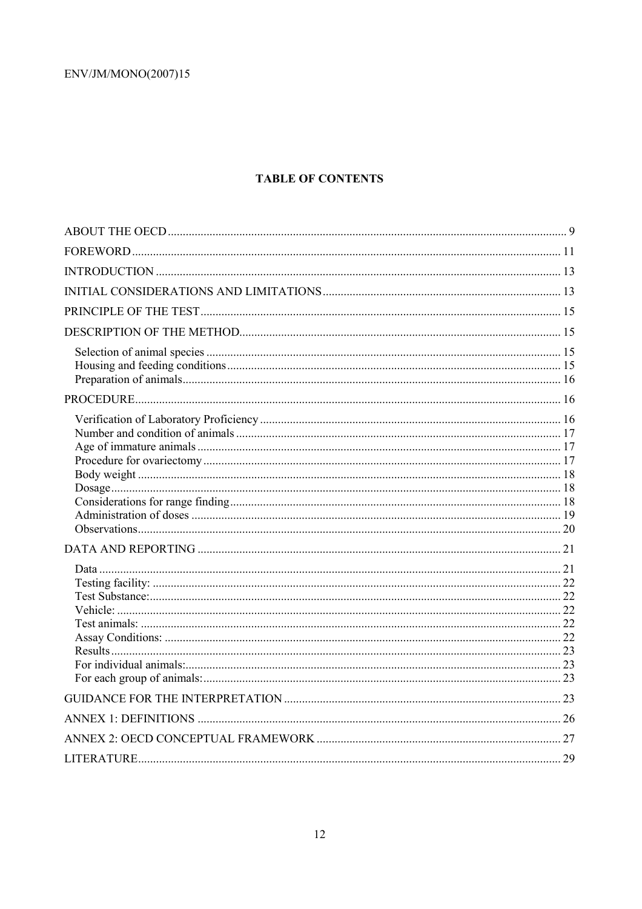# **TABLE OF CONTENTS**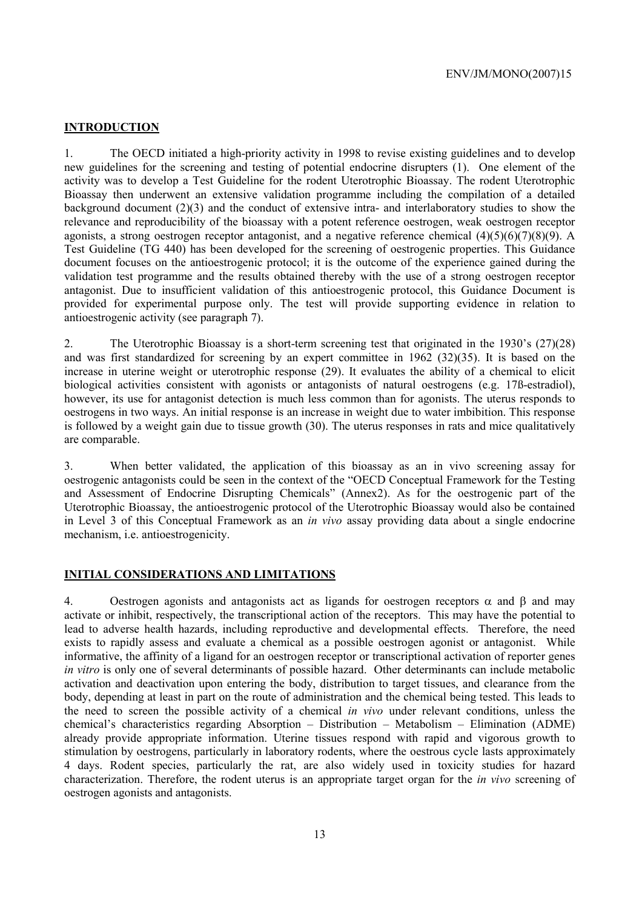#### **INTRODUCTION**

1. The OECD initiated a high-priority activity in 1998 to revise existing guidelines and to develop new guidelines for the screening and testing of potential endocrine disrupters (1). One element of the activity was to develop a Test Guideline for the rodent Uterotrophic Bioassay. The rodent Uterotrophic Bioassay then underwent an extensive validation programme including the compilation of a detailed background document (2)(3) and the conduct of extensive intra- and interlaboratory studies to show the relevance and reproducibility of the bioassay with a potent reference oestrogen, weak oestrogen receptor agonists, a strong oestrogen receptor antagonist, and a negative reference chemical  $(4)(5)(6)(7)(8)(9)$ . A Test Guideline (TG 440) has been developed for the screening of oestrogenic properties. This Guidance document focuses on the antioestrogenic protocol; it is the outcome of the experience gained during the validation test programme and the results obtained thereby with the use of a strong oestrogen receptor antagonist. Due to insufficient validation of this antioestrogenic protocol, this Guidance Document is provided for experimental purpose only. The test will provide supporting evidence in relation to antioestrogenic activity (see paragraph 7).

2. The Uterotrophic Bioassay is a short-term screening test that originated in the 1930's (27)(28) and was first standardized for screening by an expert committee in 1962 (32)(35). It is based on the increase in uterine weight or uterotrophic response (29). It evaluates the ability of a chemical to elicit biological activities consistent with agonists or antagonists of natural oestrogens (e.g. 17ß-estradiol), however, its use for antagonist detection is much less common than for agonists. The uterus responds to oestrogens in two ways. An initial response is an increase in weight due to water imbibition. This response is followed by a weight gain due to tissue growth (30). The uterus responses in rats and mice qualitatively are comparable.

3. When better validated, the application of this bioassay as an in vivo screening assay for oestrogenic antagonists could be seen in the context of the "OECD Conceptual Framework for the Testing and Assessment of Endocrine Disrupting Chemicals" (Annex2). As for the oestrogenic part of the Uterotrophic Bioassay, the antioestrogenic protocol of the Uterotrophic Bioassay would also be contained in Level 3 of this Conceptual Framework as an *in vivo* assay providing data about a single endocrine mechanism, i.e. antioestrogenicity.

#### **INITIAL CONSIDERATIONS AND LIMITATIONS**

4. Oestrogen agonists and antagonists act as ligands for oestrogen receptors  $\alpha$  and  $\beta$  and may activate or inhibit, respectively, the transcriptional action of the receptors. This may have the potential to lead to adverse health hazards, including reproductive and developmental effects. Therefore, the need exists to rapidly assess and evaluate a chemical as a possible oestrogen agonist or antagonist. While informative, the affinity of a ligand for an oestrogen receptor or transcriptional activation of reporter genes *in vitro* is only one of several determinants of possible hazard. Other determinants can include metabolic activation and deactivation upon entering the body, distribution to target tissues, and clearance from the body, depending at least in part on the route of administration and the chemical being tested. This leads to the need to screen the possible activity of a chemical *in vivo* under relevant conditions, unless the chemical's characteristics regarding Absorption – Distribution – Metabolism – Elimination (ADME) already provide appropriate information. Uterine tissues respond with rapid and vigorous growth to stimulation by oestrogens, particularly in laboratory rodents, where the oestrous cycle lasts approximately 4 days. Rodent species, particularly the rat, are also widely used in toxicity studies for hazard characterization. Therefore, the rodent uterus is an appropriate target organ for the *in vivo* screening of oestrogen agonists and antagonists.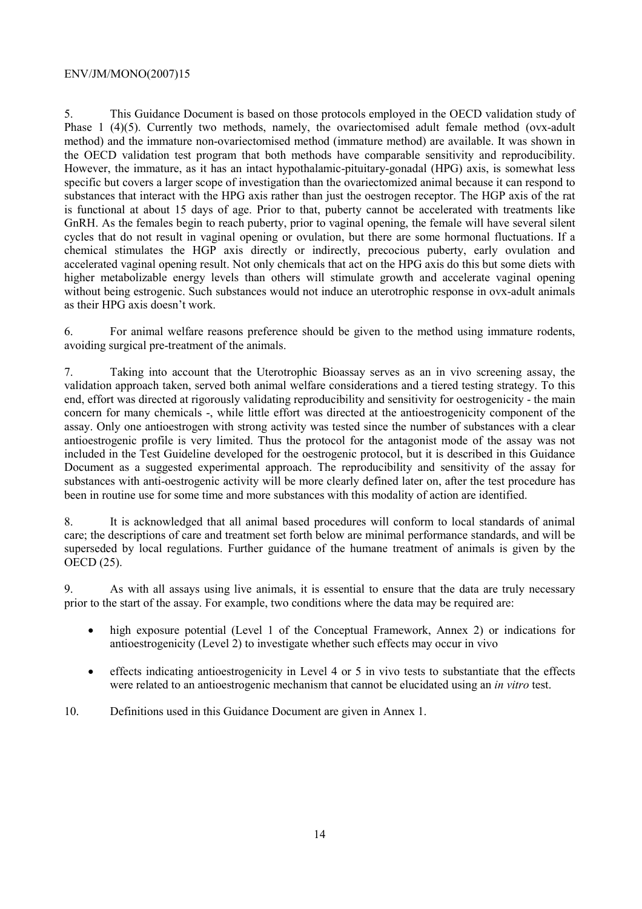5. This Guidance Document is based on those protocols employed in the OECD validation study of Phase 1 (4)(5). Currently two methods, namely, the ovariectomised adult female method (ovx-adult method) and the immature non-ovariectomised method (immature method) are available. It was shown in the OECD validation test program that both methods have comparable sensitivity and reproducibility. However, the immature, as it has an intact hypothalamic-pituitary-gonadal (HPG) axis, is somewhat less specific but covers a larger scope of investigation than the ovariectomized animal because it can respond to substances that interact with the HPG axis rather than just the oestrogen receptor. The HGP axis of the rat is functional at about 15 days of age. Prior to that, puberty cannot be accelerated with treatments like GnRH. As the females begin to reach puberty, prior to vaginal opening, the female will have several silent cycles that do not result in vaginal opening or ovulation, but there are some hormonal fluctuations. If a chemical stimulates the HGP axis directly or indirectly, precocious puberty, early ovulation and accelerated vaginal opening result. Not only chemicals that act on the HPG axis do this but some diets with higher metabolizable energy levels than others will stimulate growth and accelerate vaginal opening without being estrogenic. Such substances would not induce an uterotrophic response in ovx-adult animals as their HPG axis doesn't work.

6. For animal welfare reasons preference should be given to the method using immature rodents, avoiding surgical pre-treatment of the animals.

7. Taking into account that the Uterotrophic Bioassay serves as an in vivo screening assay, the validation approach taken, served both animal welfare considerations and a tiered testing strategy. To this end, effort was directed at rigorously validating reproducibility and sensitivity for oestrogenicity - the main concern for many chemicals -, while little effort was directed at the antioestrogenicity component of the assay. Only one antioestrogen with strong activity was tested since the number of substances with a clear antioestrogenic profile is very limited. Thus the protocol for the antagonist mode of the assay was not included in the Test Guideline developed for the oestrogenic protocol, but it is described in this Guidance Document as a suggested experimental approach. The reproducibility and sensitivity of the assay for substances with anti-oestrogenic activity will be more clearly defined later on, after the test procedure has been in routine use for some time and more substances with this modality of action are identified.

8. It is acknowledged that all animal based procedures will conform to local standards of animal care; the descriptions of care and treatment set forth below are minimal performance standards, and will be superseded by local regulations. Further guidance of the humane treatment of animals is given by the OECD (25).

9. As with all assays using live animals, it is essential to ensure that the data are truly necessary prior to the start of the assay. For example, two conditions where the data may be required are:

- high exposure potential (Level 1 of the Conceptual Framework, Annex 2) or indications for antioestrogenicity (Level 2) to investigate whether such effects may occur in vivo
- effects indicating antioestrogenicity in Level 4 or 5 in vivo tests to substantiate that the effects were related to an antioestrogenic mechanism that cannot be elucidated using an *in vitro* test.
- 10. Definitions used in this Guidance Document are given in Annex 1.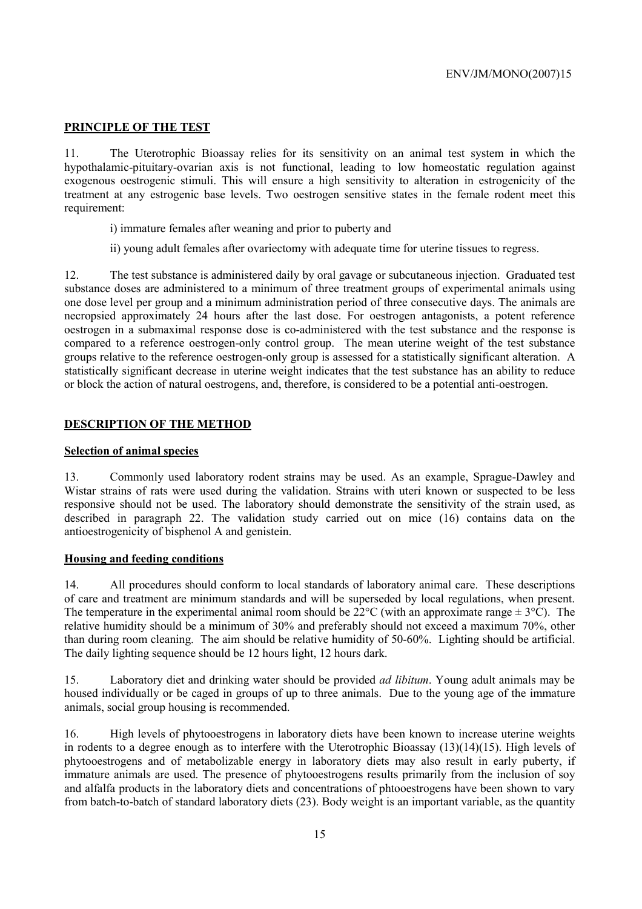#### **PRINCIPLE OF THE TEST**

11. The Uterotrophic Bioassay relies for its sensitivity on an animal test system in which the hypothalamic-pituitary-ovarian axis is not functional, leading to low homeostatic regulation against exogenous oestrogenic stimuli. This will ensure a high sensitivity to alteration in estrogenicity of the treatment at any estrogenic base levels. Two oestrogen sensitive states in the female rodent meet this requirement:

- i) immature females after weaning and prior to puberty and
- ii) young adult females after ovariectomy with adequate time for uterine tissues to regress.

12. The test substance is administered daily by oral gavage or subcutaneous injection. Graduated test substance doses are administered to a minimum of three treatment groups of experimental animals using one dose level per group and a minimum administration period of three consecutive days. The animals are necropsied approximately 24 hours after the last dose. For oestrogen antagonists, a potent reference oestrogen in a submaximal response dose is co-administered with the test substance and the response is compared to a reference oestrogen-only control group. The mean uterine weight of the test substance groups relative to the reference oestrogen-only group is assessed for a statistically significant alteration. A statistically significant decrease in uterine weight indicates that the test substance has an ability to reduce or block the action of natural oestrogens, and, therefore, is considered to be a potential anti-oestrogen.

#### **DESCRIPTION OF THE METHOD**

#### **Selection of animal species**

13. Commonly used laboratory rodent strains may be used. As an example, Sprague-Dawley and Wistar strains of rats were used during the validation. Strains with uteri known or suspected to be less responsive should not be used. The laboratory should demonstrate the sensitivity of the strain used, as described in paragraph 22. The validation study carried out on mice (16) contains data on the antioestrogenicity of bisphenol A and genistein.

#### **Housing and feeding conditions**

14. All procedures should conform to local standards of laboratory animal care. These descriptions of care and treatment are minimum standards and will be superseded by local regulations, when present. The temperature in the experimental animal room should be  $22^{\circ}$ C (with an approximate range  $\pm 3^{\circ}$ C). The relative humidity should be a minimum of 30% and preferably should not exceed a maximum 70%, other than during room cleaning. The aim should be relative humidity of 50-60%. Lighting should be artificial. The daily lighting sequence should be 12 hours light, 12 hours dark.

15. Laboratory diet and drinking water should be provided *ad libitum*. Young adult animals may be housed individually or be caged in groups of up to three animals. Due to the young age of the immature animals, social group housing is recommended.

16. High levels of phytooestrogens in laboratory diets have been known to increase uterine weights in rodents to a degree enough as to interfere with the Uterotrophic Bioassay (13)(14)(15). High levels of phytooestrogens and of metabolizable energy in laboratory diets may also result in early puberty, if immature animals are used. The presence of phytooestrogens results primarily from the inclusion of soy and alfalfa products in the laboratory diets and concentrations of phtooestrogens have been shown to vary from batch-to-batch of standard laboratory diets (23). Body weight is an important variable, as the quantity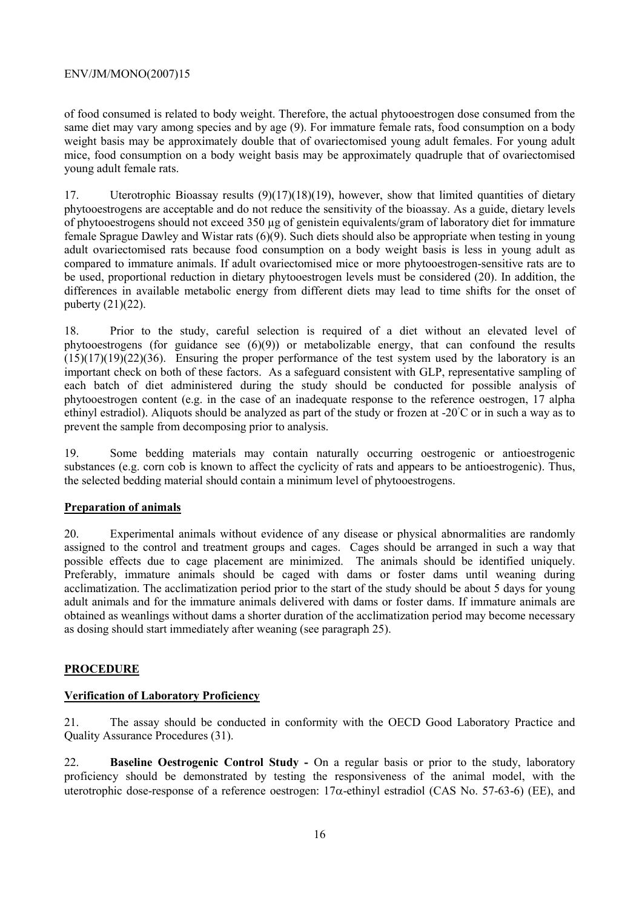of food consumed is related to body weight. Therefore, the actual phytooestrogen dose consumed from the same diet may vary among species and by age (9). For immature female rats, food consumption on a body weight basis may be approximately double that of ovariectomised young adult females. For young adult mice, food consumption on a body weight basis may be approximately quadruple that of ovariectomised young adult female rats.

17. Uterotrophic Bioassay results (9)(17)(18)(19), however, show that limited quantities of dietary phytooestrogens are acceptable and do not reduce the sensitivity of the bioassay. As a guide, dietary levels of phytooestrogens should not exceed 350 µg of genistein equivalents/gram of laboratory diet for immature female Sprague Dawley and Wistar rats (6)(9). Such diets should also be appropriate when testing in young adult ovariectomised rats because food consumption on a body weight basis is less in young adult as compared to immature animals. If adult ovariectomised mice or more phytooestrogen-sensitive rats are to be used, proportional reduction in dietary phytooestrogen levels must be considered (20). In addition, the differences in available metabolic energy from different diets may lead to time shifts for the onset of puberty (21)(22).

18. Prior to the study, careful selection is required of a diet without an elevated level of phytooestrogens (for guidance see  $(6)(9)$ ) or metabolizable energy, that can confound the results  $(15)(17)(19)(22)(36)$ . Ensuring the proper performance of the test system used by the laboratory is an important check on both of these factors. As a safeguard consistent with GLP, representative sampling of each batch of diet administered during the study should be conducted for possible analysis of phytooestrogen content (e.g. in the case of an inadequate response to the reference oestrogen, 17 alpha ethinyl estradiol). Aliquots should be analyzed as part of the study or frozen at -20℃ or in such a way as to prevent the sample from decomposing prior to analysis.

19. Some bedding materials may contain naturally occurring oestrogenic or antioestrogenic substances (e.g. corn cob is known to affect the cyclicity of rats and appears to be antioestrogenic). Thus, the selected bedding material should contain a minimum level of phytooestrogens.

#### **Preparation of animals**

20. Experimental animals without evidence of any disease or physical abnormalities are randomly assigned to the control and treatment groups and cages. Cages should be arranged in such a way that possible effects due to cage placement are minimized. The animals should be identified uniquely. Preferably, immature animals should be caged with dams or foster dams until weaning during acclimatization. The acclimatization period prior to the start of the study should be about 5 days for young adult animals and for the immature animals delivered with dams or foster dams. If immature animals are obtained as weanlings without dams a shorter duration of the acclimatization period may become necessary as dosing should start immediately after weaning (see paragraph 25).

#### **PROCEDURE**

#### **Verification of Laboratory Proficiency**

21. The assay should be conducted in conformity with the OECD Good Laboratory Practice and Quality Assurance Procedures (31).

22. **Baseline Oestrogenic Control Study -** On a regular basis or prior to the study, laboratory proficiency should be demonstrated by testing the responsiveness of the animal model, with the uterotrophic dose-response of a reference oestrogen:  $17\alpha$ -ethinyl estradiol (CAS No. 57-63-6) (EE), and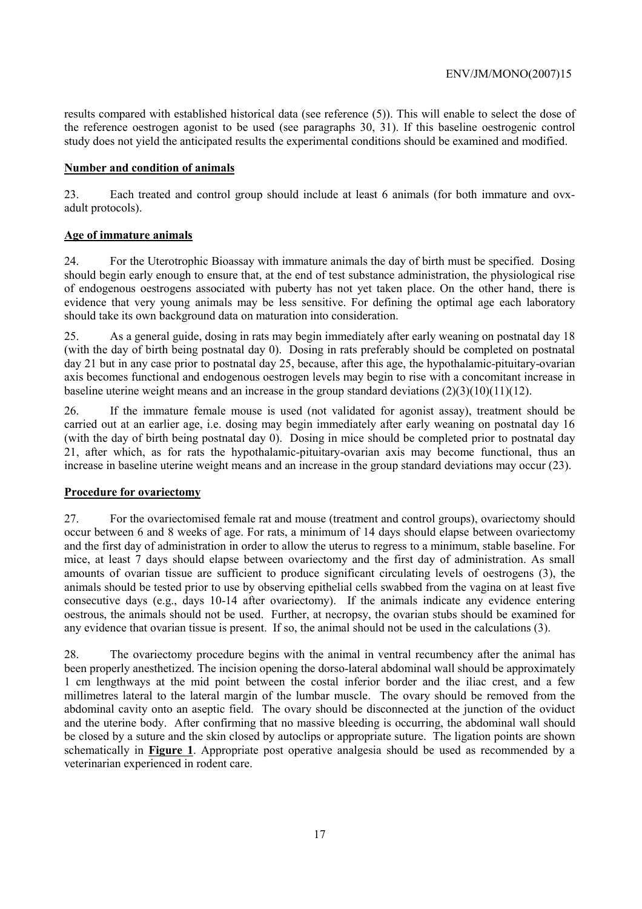results compared with established historical data (see reference (5)). This will enable to select the dose of the reference oestrogen agonist to be used (see paragraphs 30, 31). If this baseline oestrogenic control study does not yield the anticipated results the experimental conditions should be examined and modified.

#### **Number and condition of animals**

23. Each treated and control group should include at least 6 animals (for both immature and ovxadult protocols).

#### **Age of immature animals**

24. For the Uterotrophic Bioassay with immature animals the day of birth must be specified. Dosing should begin early enough to ensure that, at the end of test substance administration, the physiological rise of endogenous oestrogens associated with puberty has not yet taken place. On the other hand, there is evidence that very young animals may be less sensitive. For defining the optimal age each laboratory should take its own background data on maturation into consideration.

25. As a general guide, dosing in rats may begin immediately after early weaning on postnatal day 18 (with the day of birth being postnatal day 0). Dosing in rats preferably should be completed on postnatal day 21 but in any case prior to postnatal day 25, because, after this age, the hypothalamic-pituitary-ovarian axis becomes functional and endogenous oestrogen levels may begin to rise with a concomitant increase in baseline uterine weight means and an increase in the group standard deviations  $(2)(3)(10)(11)(12)$ .

26. If the immature female mouse is used (not validated for agonist assay), treatment should be carried out at an earlier age, i.e. dosing may begin immediately after early weaning on postnatal day 16 (with the day of birth being postnatal day 0). Dosing in mice should be completed prior to postnatal day 21, after which, as for rats the hypothalamic-pituitary-ovarian axis may become functional, thus an increase in baseline uterine weight means and an increase in the group standard deviations may occur (23).

#### **Procedure for ovariectomy**

27. For the ovariectomised female rat and mouse (treatment and control groups), ovariectomy should occur between 6 and 8 weeks of age. For rats, a minimum of 14 days should elapse between ovariectomy and the first day of administration in order to allow the uterus to regress to a minimum, stable baseline. For mice, at least 7 days should elapse between ovariectomy and the first day of administration. As small amounts of ovarian tissue are sufficient to produce significant circulating levels of oestrogens (3), the animals should be tested prior to use by observing epithelial cells swabbed from the vagina on at least five consecutive days (e.g., days 10-14 after ovariectomy). If the animals indicate any evidence entering oestrous, the animals should not be used. Further, at necropsy, the ovarian stubs should be examined for any evidence that ovarian tissue is present. If so, the animal should not be used in the calculations (3).

28. The ovariectomy procedure begins with the animal in ventral recumbency after the animal has been properly anesthetized. The incision opening the dorso-lateral abdominal wall should be approximately 1 cm lengthways at the mid point between the costal inferior border and the iliac crest, and a few millimetres lateral to the lateral margin of the lumbar muscle. The ovary should be removed from the abdominal cavity onto an aseptic field. The ovary should be disconnected at the junction of the oviduct and the uterine body. After confirming that no massive bleeding is occurring, the abdominal wall should be closed by a suture and the skin closed by autoclips or appropriate suture. The ligation points are shown schematically in **Figure 1**. Appropriate post operative analgesia should be used as recommended by a veterinarian experienced in rodent care.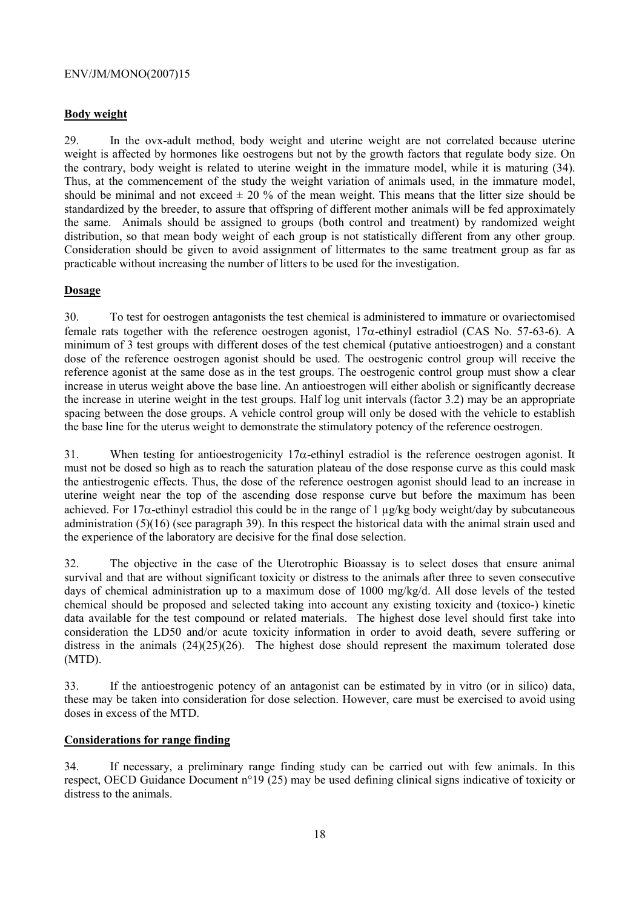#### **Body weight**

29. In the ovx-adult method, body weight and uterine weight are not correlated because uterine weight is affected by hormones like oestrogens but not by the growth factors that regulate body size. On the contrary, body weight is related to uterine weight in the immature model, while it is maturing (34). Thus, at the commencement of the study the weight variation of animals used, in the immature model, should be minimal and not exceed  $\pm 20\%$  of the mean weight. This means that the litter size should be standardized by the breeder, to assure that offspring of different mother animals will be fed approximately the same. Animals should be assigned to groups (both control and treatment) by randomized weight distribution, so that mean body weight of each group is not statistically different from any other group. Consideration should be given to avoid assignment of littermates to the same treatment group as far as practicable without increasing the number of litters to be used for the investigation.

#### **Dosage**

30. To test for oestrogen antagonists the test chemical is administered to immature or ovariectomised female rats together with the reference oestrogen agonist, 17α-ethinyl estradiol (CAS No. 57-63-6). A minimum of 3 test groups with different doses of the test chemical (putative antioestrogen) and a constant dose of the reference oestrogen agonist should be used. The oestrogenic control group will receive the reference agonist at the same dose as in the test groups. The oestrogenic control group must show a clear increase in uterus weight above the base line. An antioestrogen will either abolish or significantly decrease the increase in uterine weight in the test groups. Half log unit intervals (factor 3.2) may be an appropriate spacing between the dose groups. A vehicle control group will only be dosed with the vehicle to establish the base line for the uterus weight to demonstrate the stimulatory potency of the reference oestrogen.

31. When testing for antioestrogenicity 17α-ethinyl estradiol is the reference oestrogen agonist. It must not be dosed so high as to reach the saturation plateau of the dose response curve as this could mask the antiestrogenic effects. Thus, the dose of the reference oestrogen agonist should lead to an increase in uterine weight near the top of the ascending dose response curve but before the maximum has been achieved. For 17 $\alpha$ -ethinyl estradiol this could be in the range of 1  $\mu$ g/kg body weight/day by subcutaneous administration (5)(16) (see paragraph 39). In this respect the historical data with the animal strain used and the experience of the laboratory are decisive for the final dose selection.

32. The objective in the case of the Uterotrophic Bioassay is to select doses that ensure animal survival and that are without significant toxicity or distress to the animals after three to seven consecutive days of chemical administration up to a maximum dose of 1000 mg/kg/d. All dose levels of the tested chemical should be proposed and selected taking into account any existing toxicity and (toxico-) kinetic data available for the test compound or related materials. The highest dose level should first take into consideration the LD50 and/or acute toxicity information in order to avoid death, severe suffering or distress in the animals  $(24)(25)(26)$ . The highest dose should represent the maximum tolerated dose (MTD).

33. If the antioestrogenic potency of an antagonist can be estimated by in vitro (or in silico) data, these may be taken into consideration for dose selection. However, care must be exercised to avoid using doses in excess of the MTD.

#### **Considerations for range finding**

34. If necessary, a preliminary range finding study can be carried out with few animals. In this respect, OECD Guidance Document n°19 (25) may be used defining clinical signs indicative of toxicity or distress to the animals.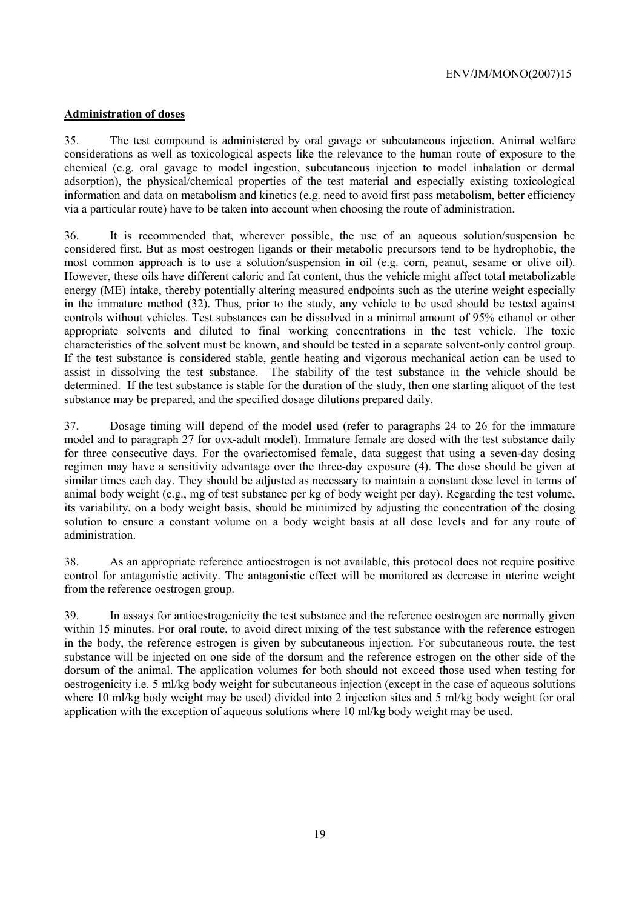#### **Administration of doses**

35. The test compound is administered by oral gavage or subcutaneous injection. Animal welfare considerations as well as toxicological aspects like the relevance to the human route of exposure to the chemical (e.g. oral gavage to model ingestion, subcutaneous injection to model inhalation or dermal adsorption), the physical/chemical properties of the test material and especially existing toxicological information and data on metabolism and kinetics (e.g. need to avoid first pass metabolism, better efficiency via a particular route) have to be taken into account when choosing the route of administration.

36. It is recommended that, wherever possible, the use of an aqueous solution/suspension be considered first. But as most oestrogen ligands or their metabolic precursors tend to be hydrophobic, the most common approach is to use a solution/suspension in oil (e.g. corn, peanut, sesame or olive oil). However, these oils have different caloric and fat content, thus the vehicle might affect total metabolizable energy (ME) intake, thereby potentially altering measured endpoints such as the uterine weight especially in the immature method (32). Thus, prior to the study, any vehicle to be used should be tested against controls without vehicles. Test substances can be dissolved in a minimal amount of 95% ethanol or other appropriate solvents and diluted to final working concentrations in the test vehicle. The toxic characteristics of the solvent must be known, and should be tested in a separate solvent-only control group. If the test substance is considered stable, gentle heating and vigorous mechanical action can be used to assist in dissolving the test substance. The stability of the test substance in the vehicle should be determined. If the test substance is stable for the duration of the study, then one starting aliquot of the test substance may be prepared, and the specified dosage dilutions prepared daily.

37. Dosage timing will depend of the model used (refer to paragraphs 24 to 26 for the immature model and to paragraph 27 for ovx-adult model). Immature female are dosed with the test substance daily for three consecutive days. For the ovariectomised female, data suggest that using a seven-day dosing regimen may have a sensitivity advantage over the three-day exposure (4). The dose should be given at similar times each day. They should be adjusted as necessary to maintain a constant dose level in terms of animal body weight (e.g., mg of test substance per kg of body weight per day). Regarding the test volume, its variability, on a body weight basis, should be minimized by adjusting the concentration of the dosing solution to ensure a constant volume on a body weight basis at all dose levels and for any route of administration.

38. As an appropriate reference antioestrogen is not available, this protocol does not require positive control for antagonistic activity. The antagonistic effect will be monitored as decrease in uterine weight from the reference oestrogen group.

39. In assays for antioestrogenicity the test substance and the reference oestrogen are normally given within 15 minutes. For oral route, to avoid direct mixing of the test substance with the reference estrogen in the body, the reference estrogen is given by subcutaneous injection. For subcutaneous route, the test substance will be injected on one side of the dorsum and the reference estrogen on the other side of the dorsum of the animal. The application volumes for both should not exceed those used when testing for oestrogenicity i.e. 5 ml/kg body weight for subcutaneous injection (except in the case of aqueous solutions where 10 ml/kg body weight may be used) divided into 2 injection sites and 5 ml/kg body weight for oral application with the exception of aqueous solutions where 10 ml/kg body weight may be used.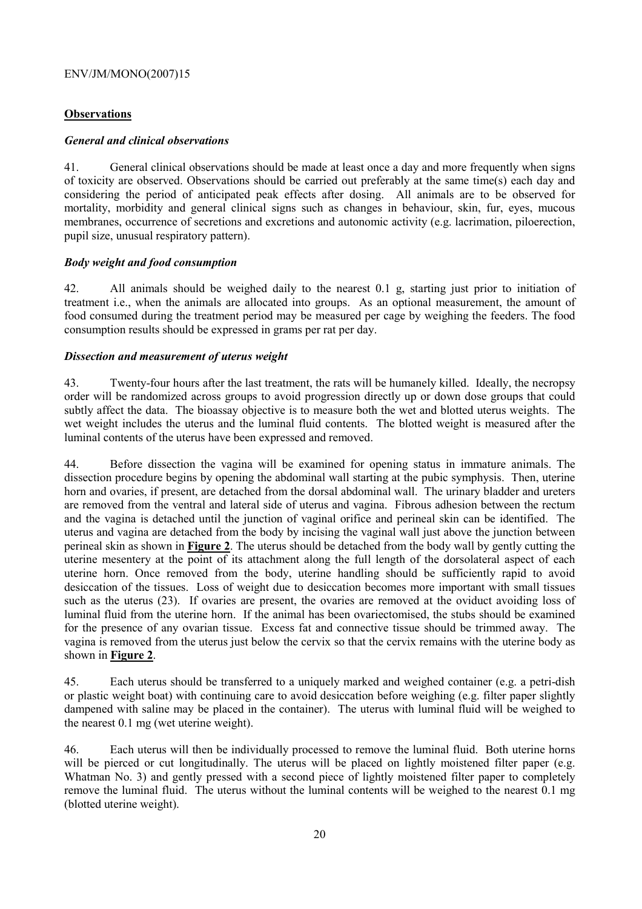#### **Observations**

#### *General and clinical observations*

41. General clinical observations should be made at least once a day and more frequently when signs of toxicity are observed. Observations should be carried out preferably at the same time(s) each day and considering the period of anticipated peak effects after dosing. All animals are to be observed for mortality, morbidity and general clinical signs such as changes in behaviour, skin, fur, eyes, mucous membranes, occurrence of secretions and excretions and autonomic activity (e.g. lacrimation, piloerection, pupil size, unusual respiratory pattern).

#### *Body weight and food consumption*

42. All animals should be weighed daily to the nearest 0.1 g, starting just prior to initiation of treatment i.e., when the animals are allocated into groups. As an optional measurement, the amount of food consumed during the treatment period may be measured per cage by weighing the feeders. The food consumption results should be expressed in grams per rat per day.

#### *Dissection and measurement of uterus weight*

43. Twenty-four hours after the last treatment, the rats will be humanely killed. Ideally, the necropsy order will be randomized across groups to avoid progression directly up or down dose groups that could subtly affect the data. The bioassay objective is to measure both the wet and blotted uterus weights. The wet weight includes the uterus and the luminal fluid contents. The blotted weight is measured after the luminal contents of the uterus have been expressed and removed.

44. Before dissection the vagina will be examined for opening status in immature animals. The dissection procedure begins by opening the abdominal wall starting at the pubic symphysis. Then, uterine horn and ovaries, if present, are detached from the dorsal abdominal wall. The urinary bladder and ureters are removed from the ventral and lateral side of uterus and vagina. Fibrous adhesion between the rectum and the vagina is detached until the junction of vaginal orifice and perineal skin can be identified. The uterus and vagina are detached from the body by incising the vaginal wall just above the junction between perineal skin as shown in **Figure 2**. The uterus should be detached from the body wall by gently cutting the uterine mesentery at the point of its attachment along the full length of the dorsolateral aspect of each uterine horn. Once removed from the body, uterine handling should be sufficiently rapid to avoid desiccation of the tissues. Loss of weight due to desiccation becomes more important with small tissues such as the uterus (23). If ovaries are present, the ovaries are removed at the oviduct avoiding loss of luminal fluid from the uterine horn. If the animal has been ovariectomised, the stubs should be examined for the presence of any ovarian tissue. Excess fat and connective tissue should be trimmed away. The vagina is removed from the uterus just below the cervix so that the cervix remains with the uterine body as shown in **Figure 2**.

45. Each uterus should be transferred to a uniquely marked and weighed container (e.g. a petri-dish or plastic weight boat) with continuing care to avoid desiccation before weighing (e.g. filter paper slightly dampened with saline may be placed in the container). The uterus with luminal fluid will be weighed to the nearest 0.1 mg (wet uterine weight).

46. Each uterus will then be individually processed to remove the luminal fluid. Both uterine horns will be pierced or cut longitudinally. The uterus will be placed on lightly moistened filter paper (e.g. Whatman No. 3) and gently pressed with a second piece of lightly moistened filter paper to completely remove the luminal fluid. The uterus without the luminal contents will be weighed to the nearest 0.1 mg (blotted uterine weight).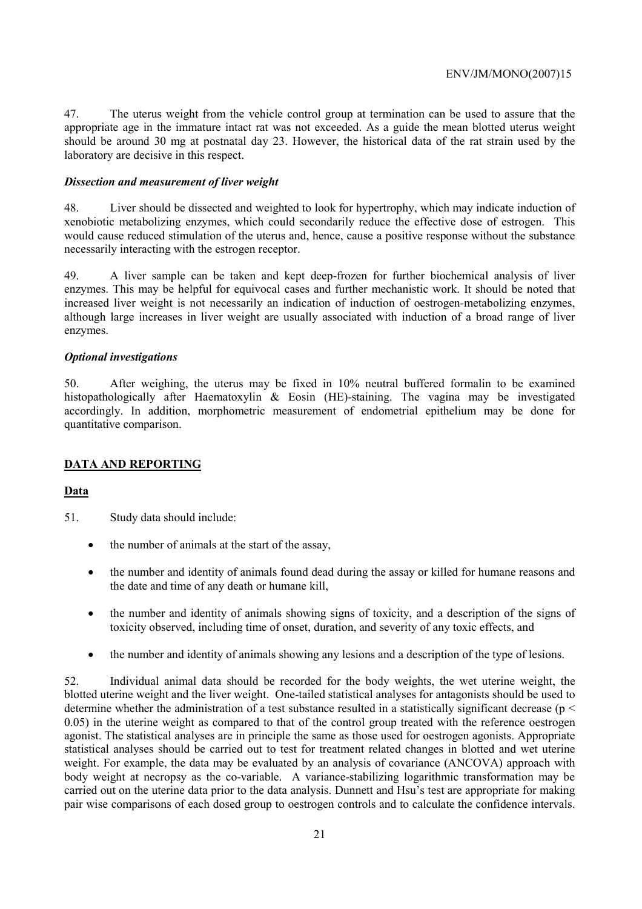47. The uterus weight from the vehicle control group at termination can be used to assure that the appropriate age in the immature intact rat was not exceeded. As a guide the mean blotted uterus weight should be around 30 mg at postnatal day 23. However, the historical data of the rat strain used by the laboratory are decisive in this respect.

#### *Dissection and measurement of liver weight*

48. Liver should be dissected and weighted to look for hypertrophy, which may indicate induction of xenobiotic metabolizing enzymes, which could secondarily reduce the effective dose of estrogen. This would cause reduced stimulation of the uterus and, hence, cause a positive response without the substance necessarily interacting with the estrogen receptor.

49. A liver sample can be taken and kept deep-frozen for further biochemical analysis of liver enzymes. This may be helpful for equivocal cases and further mechanistic work. It should be noted that increased liver weight is not necessarily an indication of induction of oestrogen-metabolizing enzymes, although large increases in liver weight are usually associated with induction of a broad range of liver enzymes.

#### *Optional investigations*

50. After weighing, the uterus may be fixed in 10% neutral buffered formalin to be examined histopathologically after Haematoxylin & Eosin (HE)-staining. The vagina may be investigated accordingly. In addition, morphometric measurement of endometrial epithelium may be done for quantitative comparison.

#### **DATA AND REPORTING**

#### **Data**

51. Study data should include:

- the number of animals at the start of the assay,
- the number and identity of animals found dead during the assay or killed for humane reasons and the date and time of any death or humane kill,
- the number and identity of animals showing signs of toxicity, and a description of the signs of toxicity observed, including time of onset, duration, and severity of any toxic effects, and
- the number and identity of animals showing any lesions and a description of the type of lesions.

52. Individual animal data should be recorded for the body weights, the wet uterine weight, the blotted uterine weight and the liver weight. One-tailed statistical analyses for antagonists should be used to determine whether the administration of a test substance resulted in a statistically significant decrease (p < 0.05) in the uterine weight as compared to that of the control group treated with the reference oestrogen agonist. The statistical analyses are in principle the same as those used for oestrogen agonists. Appropriate statistical analyses should be carried out to test for treatment related changes in blotted and wet uterine weight. For example, the data may be evaluated by an analysis of covariance (ANCOVA) approach with body weight at necropsy as the co-variable. A variance-stabilizing logarithmic transformation may be carried out on the uterine data prior to the data analysis. Dunnett and Hsu's test are appropriate for making pair wise comparisons of each dosed group to oestrogen controls and to calculate the confidence intervals.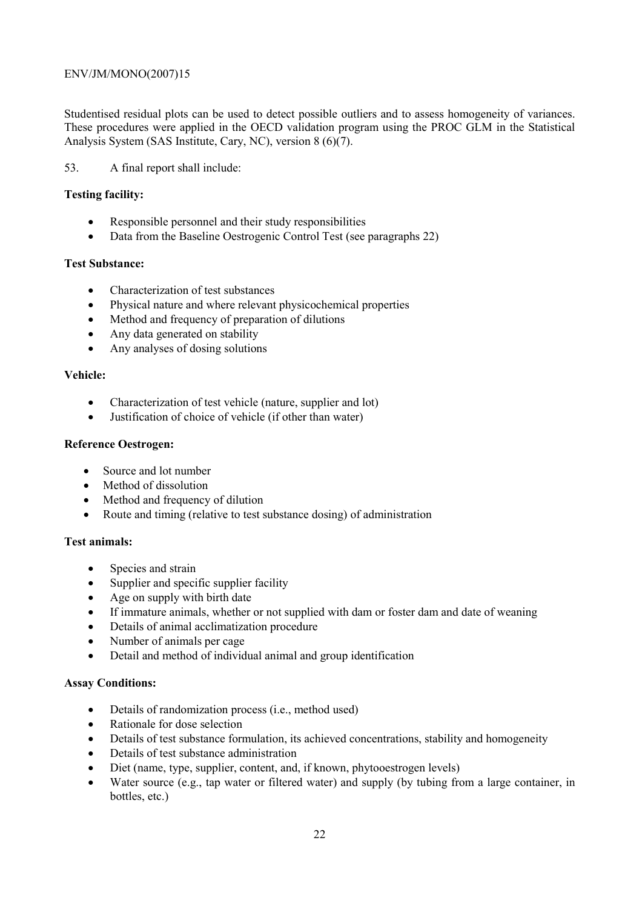Studentised residual plots can be used to detect possible outliers and to assess homogeneity of variances. These procedures were applied in the OECD validation program using the PROC GLM in the Statistical Analysis System (SAS Institute, Cary, NC), version 8 (6)(7).

53. A final report shall include:

#### **Testing facility:**

- Responsible personnel and their study responsibilities
- Data from the Baseline Oestrogenic Control Test (see paragraphs 22)

#### **Test Substance:**

- Characterization of test substances
- Physical nature and where relevant physicochemical properties
- Method and frequency of preparation of dilutions
- Any data generated on stability
- Any analyses of dosing solutions

#### **Vehicle:**

- Characterization of test vehicle (nature, supplier and lot)
- Justification of choice of vehicle (if other than water)

#### **Reference Oestrogen:**

- Source and lot number
- Method of dissolution
- Method and frequency of dilution
- Route and timing (relative to test substance dosing) of administration

#### **Test animals:**

- Species and strain
- Supplier and specific supplier facility
- Age on supply with birth date
- If immature animals, whether or not supplied with dam or foster dam and date of weaning
- Details of animal acclimatization procedure
- Number of animals per cage
- Detail and method of individual animal and group identification

#### **Assay Conditions:**

- Details of randomization process (i.e., method used)
- Rationale for dose selection
- Details of test substance formulation, its achieved concentrations, stability and homogeneity
- Details of test substance administration
- Diet (name, type, supplier, content, and, if known, phytooestrogen levels)
- Water source (e.g., tap water or filtered water) and supply (by tubing from a large container, in bottles, etc.)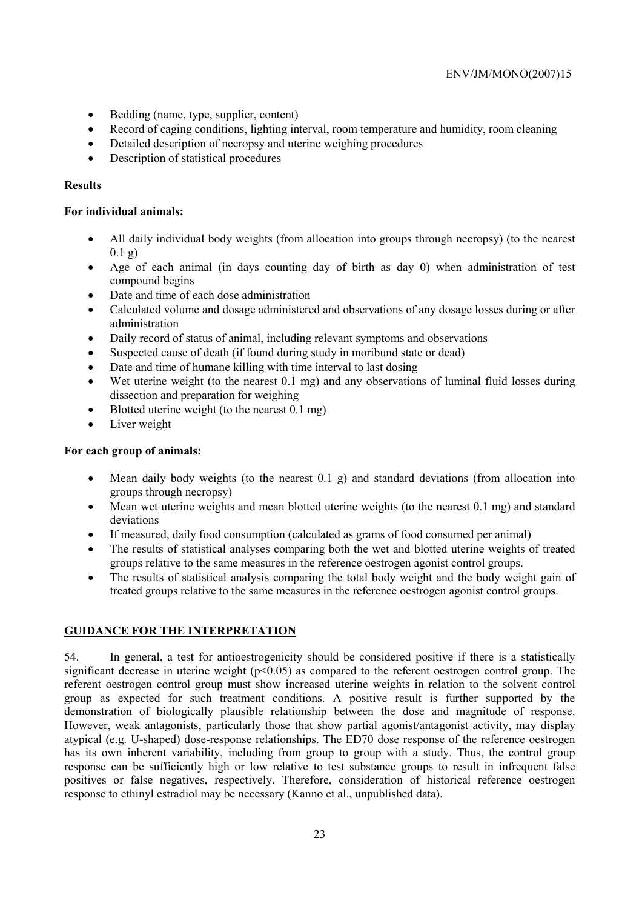- Bedding (name, type, supplier, content)
- Record of caging conditions, lighting interval, room temperature and humidity, room cleaning
- Detailed description of necropsy and uterine weighing procedures
- Description of statistical procedures

#### **Results**

#### **For individual animals:**

- All daily individual body weights (from allocation into groups through necropsy) (to the nearest  $(0.1 g)$
- Age of each animal (in days counting day of birth as day 0) when administration of test compound begins
- Date and time of each dose administration
- Calculated volume and dosage administered and observations of any dosage losses during or after administration
- Daily record of status of animal, including relevant symptoms and observations
- Suspected cause of death (if found during study in moribund state or dead)
- Date and time of humane killing with time interval to last dosing
- Wet uterine weight (to the nearest 0.1 mg) and any observations of luminal fluid losses during dissection and preparation for weighing
- Blotted uterine weight (to the nearest 0.1 mg)
- Liver weight

#### **For each group of animals:**

- Mean daily body weights (to the nearest  $(0.1 \text{ g})$  and standard deviations (from allocation into groups through necropsy)
- Mean wet uterine weights and mean blotted uterine weights (to the nearest 0.1 mg) and standard deviations
- If measured, daily food consumption (calculated as grams of food consumed per animal)
- The results of statistical analyses comparing both the wet and blotted uterine weights of treated groups relative to the same measures in the reference oestrogen agonist control groups.
- The results of statistical analysis comparing the total body weight and the body weight gain of treated groups relative to the same measures in the reference oestrogen agonist control groups.

#### **GUIDANCE FOR THE INTERPRETATION**

54. In general, a test for antioestrogenicity should be considered positive if there is a statistically significant decrease in uterine weight ( $p<0.05$ ) as compared to the referent oestrogen control group. The referent oestrogen control group must show increased uterine weights in relation to the solvent control group as expected for such treatment conditions. A positive result is further supported by the demonstration of biologically plausible relationship between the dose and magnitude of response. However, weak antagonists, particularly those that show partial agonist/antagonist activity, may display atypical (e.g. U-shaped) dose-response relationships. The ED70 dose response of the reference oestrogen has its own inherent variability, including from group to group with a study. Thus, the control group response can be sufficiently high or low relative to test substance groups to result in infrequent false positives or false negatives, respectively. Therefore, consideration of historical reference oestrogen response to ethinyl estradiol may be necessary (Kanno et al., unpublished data).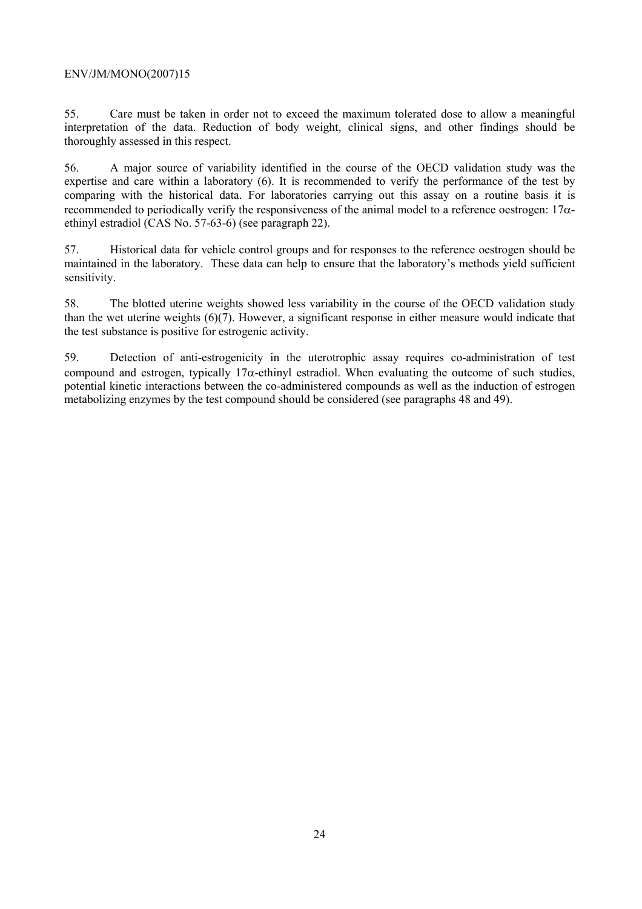55. Care must be taken in order not to exceed the maximum tolerated dose to allow a meaningful interpretation of the data. Reduction of body weight, clinical signs, and other findings should be thoroughly assessed in this respect.

56. A major source of variability identified in the course of the OECD validation study was the expertise and care within a laboratory (6). It is recommended to verify the performance of the test by comparing with the historical data. For laboratories carrying out this assay on a routine basis it is recommended to periodically verify the responsiveness of the animal model to a reference oestrogen: 17αethinyl estradiol (CAS No. 57-63-6) (see paragraph 22).

57. Historical data for vehicle control groups and for responses to the reference oestrogen should be maintained in the laboratory. These data can help to ensure that the laboratory's methods yield sufficient sensitivity.

58. The blotted uterine weights showed less variability in the course of the OECD validation study than the wet uterine weights (6)(7). However, a significant response in either measure would indicate that the test substance is positive for estrogenic activity.

59. Detection of anti-estrogenicity in the uterotrophic assay requires co-administration of test compound and estrogen, typically 17 $\alpha$ -ethinyl estradiol. When evaluating the outcome of such studies, potential kinetic interactions between the co-administered compounds as well as the induction of estrogen metabolizing enzymes by the test compound should be considered (see paragraphs 48 and 49).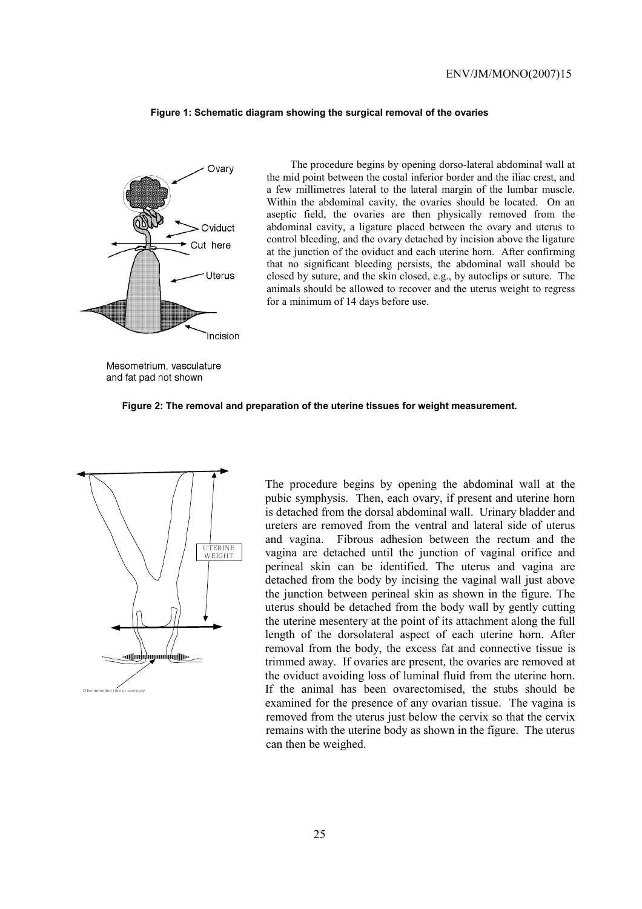#### **Figure 1: Schematic diagram showing the surgical removal of the ovaries**



The procedure begins by opening dorso-lateral abdominal wall at the mid point between the costal inferior border and the iliac crest, and a few millimetres lateral to the lateral margin of the lumbar muscle. Within the abdominal cavity, the ovaries should be located. On an aseptic field, the ovaries are then physically removed from the abdominal cavity, a ligature placed between the ovary and uterus to control bleeding, and the ovary detached by incision above the ligature at the junction of the oviduct and each uterine horn. After confirming that no significant bleeding persists, the abdominal wall should be closed by suture, and the skin closed, e.g., by autoclips or suture. The animals should be allowed to recover and the uterus weight to regress for a minimum of 14 days before use.

Mesometrium, vasculature and fat pad not shown

#### **Figure 2: The removal and preparation of the uterine tissues for weight measurement.**



The procedure begins by opening the abdominal wall at the pubic symphysis. Then, each ovary, if present and uterine horn is detached from the dorsal abdominal wall. Urinary bladder and ureters are removed from the ventral and lateral side of uterus and vagina. Fibrous adhesion between the rectum and the vagina are detached until the junction of vaginal orifice and perineal skin can be identified. The uterus and vagina are detached from the body by incising the vaginal wall just above the junction between perineal skin as shown in the figure. The uterus should be detached from the body wall by gently cutting the uterine mesentery at the point of its attachment along the full length of the dorsolateral aspect of each uterine horn. After removal from the body, the excess fat and connective tissue is trimmed away. If ovaries are present, the ovaries are removed at the oviduct avoiding loss of luminal fluid from the uterine horn. If the animal has been ovarectomised, the stubs should be examined for the presence of any ovarian tissue. The vagina is removed from the uterus just below the cervix so that the cervix remains with the uterine body as shown in the figure. The uterus can then be weighed.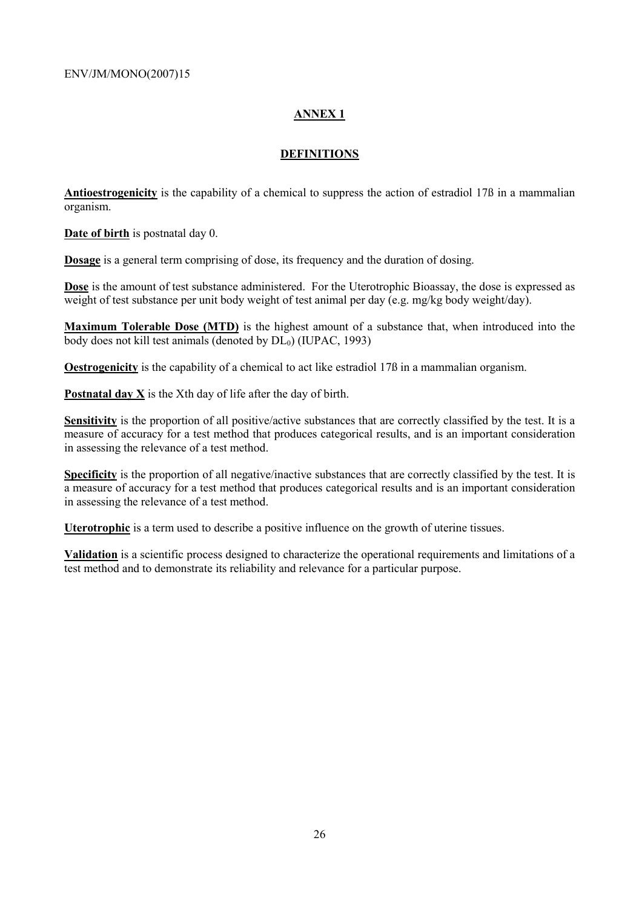### **ANNEX 1**

#### **DEFINITIONS**

**Antioestrogenicity** is the capability of a chemical to suppress the action of estradiol 17ß in a mammalian organism.

**Date of birth** is postnatal day 0.

**Dosage** is a general term comprising of dose, its frequency and the duration of dosing.

**Dose** is the amount of test substance administered. For the Uterotrophic Bioassay, the dose is expressed as weight of test substance per unit body weight of test animal per day (e.g. mg/kg body weight/day).

**Maximum Tolerable Dose (MTD)** is the highest amount of a substance that, when introduced into the body does not kill test animals (denoted by  $\text{DL}_0$ ) (IUPAC, 1993)

**Oestrogenicity** is the capability of a chemical to act like estradiol 178 in a mammalian organism.

**Postnatal day X** is the Xth day of life after the day of birth.

**Sensitivity** is the proportion of all positive/active substances that are correctly classified by the test. It is a measure of accuracy for a test method that produces categorical results, and is an important consideration in assessing the relevance of a test method.

**Specificity** is the proportion of all negative/inactive substances that are correctly classified by the test. It is a measure of accuracy for a test method that produces categorical results and is an important consideration in assessing the relevance of a test method.

**Uterotrophic** is a term used to describe a positive influence on the growth of uterine tissues.

**Validation** is a scientific process designed to characterize the operational requirements and limitations of a test method and to demonstrate its reliability and relevance for a particular purpose.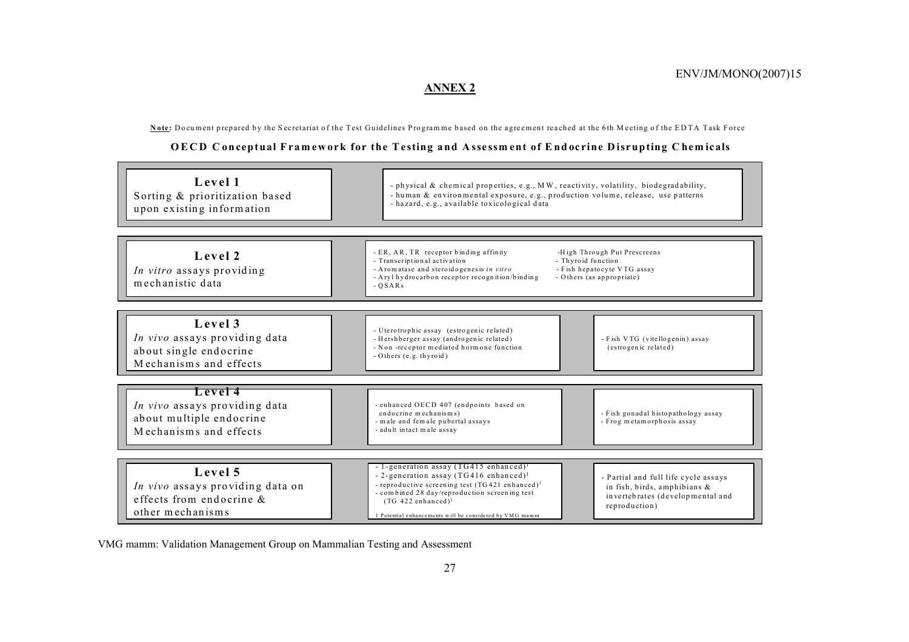#### **ANNEX 2**

**Note :** Document prepared by the S ecretariat of the Test Guidelines Program me based on the agreement reached at the 6th M eeting of the ED TA Task Force



| Level 1<br>Sorting & prioritization based<br>upon existing information                         | - physical $\&$ chemical properties, e.g., MW, reactivity, volatility, biodegradability,<br>- human & environmental exposure, e.g., production volume, release, use patterns<br>- hazard, e.g., available toxicological data                                                                                                    |                                                                                                                           |
|------------------------------------------------------------------------------------------------|---------------------------------------------------------------------------------------------------------------------------------------------------------------------------------------------------------------------------------------------------------------------------------------------------------------------------------|---------------------------------------------------------------------------------------------------------------------------|
| Level 2<br>In vitro assays providing<br>mechanistic data                                       | - ER, AR, TR receptor binding affinity<br>- Transcriptional activation<br>- Aromatase and steroidogenesis in vitro<br>- Aryl hydrocarbon receptor recognition/binding<br>$-OSARS$                                                                                                                                               | -High Through Put Prescreens<br>- Thyroid function<br>- Fish hepatocyte VTG assay<br>- Others (as appropriate)            |
| Level 3<br>In vivo assays providing data<br>about single endocrine<br>Mechanisms and effects   | - Uterotrophic assay (estrogenic related)<br>- Hershberger assay (androgenic related)<br>- Non-receptor mediated hormone function<br>- Others (e.g. thyroid)                                                                                                                                                                    | - Fish VTG (vitellogenin) assay<br>(estrogenic related)                                                                   |
| Level 4<br>In vivo assays providing data<br>about multiple endocrine<br>Mechanisms and effects | - enhanced OECD 407 (endpoints based on<br>endocrine mechanisms)<br>- male and female pubertal assays<br>- adult intact male assay                                                                                                                                                                                              | - Fish gonadal histopathology assay<br>- Frog metamorphosis assay                                                         |
| Level 5<br>In vivo assays providing data on<br>effects from endocrine &<br>other mechanisms    | $-1$ -generation assay (TG415 enhanced) <sup>1</sup><br>- 2-generation assay $(TG416 \text{ enhanced})$ <sup>1</sup><br>- reproductive screening test $(TG421 \text{ enhanced})^1$<br>- combined 28 day/reproduction screening test<br>$(TG 422 \text{ enhanced})^1$<br>1 Potential enhancements will be considered by VMG mamm | - Partial and full life cycle assays<br>in fish, birds, amphibians &<br>invertebrates (developmental and<br>reproduction) |

VMG mamm: Validation Management Group on Mammalian Testing and Assessment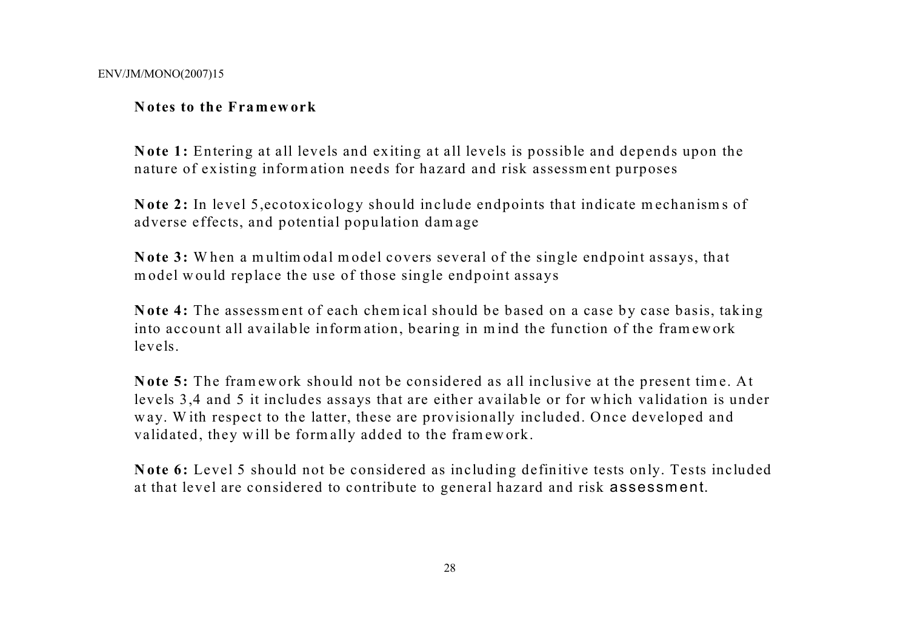# **Notes to the Framework**

**Note 1:** Entering at all levels and exiting at all levels is possible and depends upon the nature of existing inform ation needs for hazard and risk assessm ent purposes

**Note 2:** In level 5,ecotoxicology should include endpoints that indicate <sup>m</sup> echanism s of adverse effects, and potential population dam age

**Note 3:** W hen a m ultim odal m odel covers several of the single endpoint assays, that <sup>m</sup> odel w ould replace the use of those single endpoint assays

**Note 4:** The assessm ent of each chem ical should be based on a case by case basis, taking into account all available inform ation, bearing in m ind the function of the fram ework levels.

**Note 5:** The fram ew ork should not be considered as all inclusive at the present tim e. At levels 3,4 and 5 it includes assays that are either available or for w hich validation is under way. With respect to the latter, these are provisionally included. Once developed and validated, they will be form ally added to the fram ework.

**Note 6:** Level 5 should not be considered as including definitive tests only. Tests included at that level are considered to contribute to general hazard and risk assessment.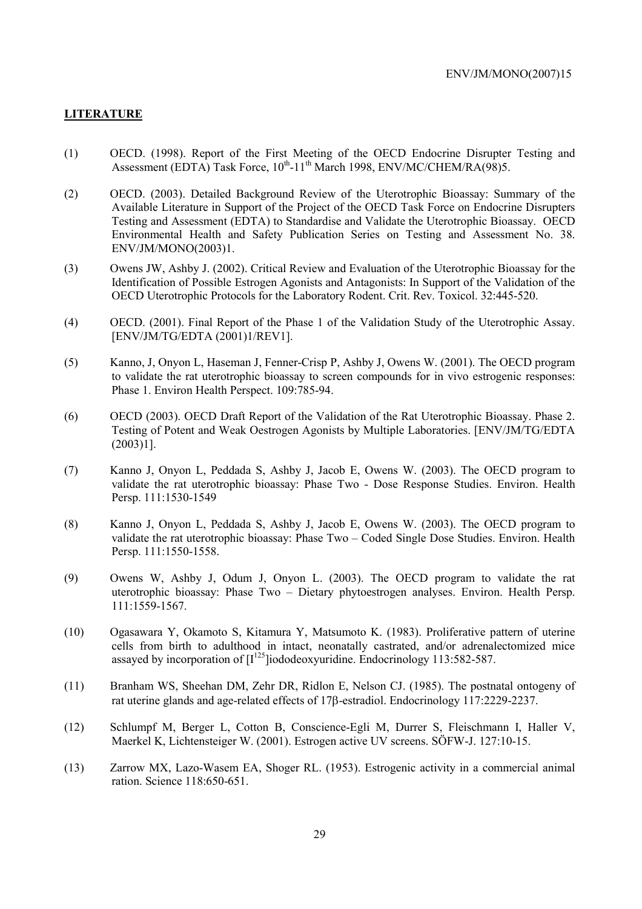#### **LITERATURE**

- (1) OECD. (1998). Report of the First Meeting of the OECD Endocrine Disrupter Testing and Assessment (EDTA) Task Force,  $10^{th}$ -11<sup>th</sup> March 1998, ENV/MC/CHEM/RA(98)5.
- (2) OECD. (2003). Detailed Background Review of the Uterotrophic Bioassay: Summary of the Available Literature in Support of the Project of the OECD Task Force on Endocrine Disrupters Testing and Assessment (EDTA) to Standardise and Validate the Uterotrophic Bioassay. OECD Environmental Health and Safety Publication Series on Testing and Assessment No. 38. ENV/JM/MONO(2003)1.
- (3) Owens JW, Ashby J. (2002). Critical Review and Evaluation of the Uterotrophic Bioassay for the Identification of Possible Estrogen Agonists and Antagonists: In Support of the Validation of the OECD Uterotrophic Protocols for the Laboratory Rodent. Crit. Rev. Toxicol. 32:445-520.
- (4) OECD. (2001). Final Report of the Phase 1 of the Validation Study of the Uterotrophic Assay. [ENV/JM/TG/EDTA (2001)1/REV1].
- (5) Kanno, J, Onyon L, Haseman J, Fenner-Crisp P, Ashby J, Owens W. (2001). The OECD program to validate the rat uterotrophic bioassay to screen compounds for in vivo estrogenic responses: Phase 1. Environ Health Perspect. 109:785-94.
- (6) OECD (2003). OECD Draft Report of the Validation of the Rat Uterotrophic Bioassay. Phase 2. Testing of Potent and Weak Oestrogen Agonists by Multiple Laboratories. [ENV/JM/TG/EDTA (2003)1].
- (7) Kanno J, Onyon L, Peddada S, Ashby J, Jacob E, Owens W. (2003). The OECD program to validate the rat uterotrophic bioassay: Phase Two - Dose Response Studies. Environ. Health Persp. 111:1530-1549
- (8) Kanno J, Onyon L, Peddada S, Ashby J, Jacob E, Owens W. (2003). The OECD program to validate the rat uterotrophic bioassay: Phase Two – Coded Single Dose Studies. Environ. Health Persp. 111:1550-1558.
- (9) Owens W, Ashby J, Odum J, Onyon L. (2003). The OECD program to validate the rat uterotrophic bioassay: Phase Two – Dietary phytoestrogen analyses. Environ. Health Persp. 111:1559-1567.
- (10) Ogasawara Y, Okamoto S, Kitamura Y, Matsumoto K. (1983). Proliferative pattern of uterine cells from birth to adulthood in intact, neonatally castrated, and/or adrenalectomized mice assayed by incorporation of  $[I^{125}]$ iododeoxyuridine. Endocrinology 113:582-587.
- (11) Branham WS, Sheehan DM, Zehr DR, Ridlon E, Nelson CJ. (1985). The postnatal ontogeny of rat uterine glands and age-related effects of 17β-estradiol. Endocrinology 117:2229-2237.
- (12) Schlumpf M, Berger L, Cotton B, Conscience-Egli M, Durrer S, Fleischmann I, Haller V, Maerkel K, Lichtensteiger W. (2001). Estrogen active UV screens. SÖFW-J. 127:10-15.
- (13) Zarrow MX, Lazo-Wasem EA, Shoger RL. (1953). Estrogenic activity in a commercial animal ration. Science 118:650-651.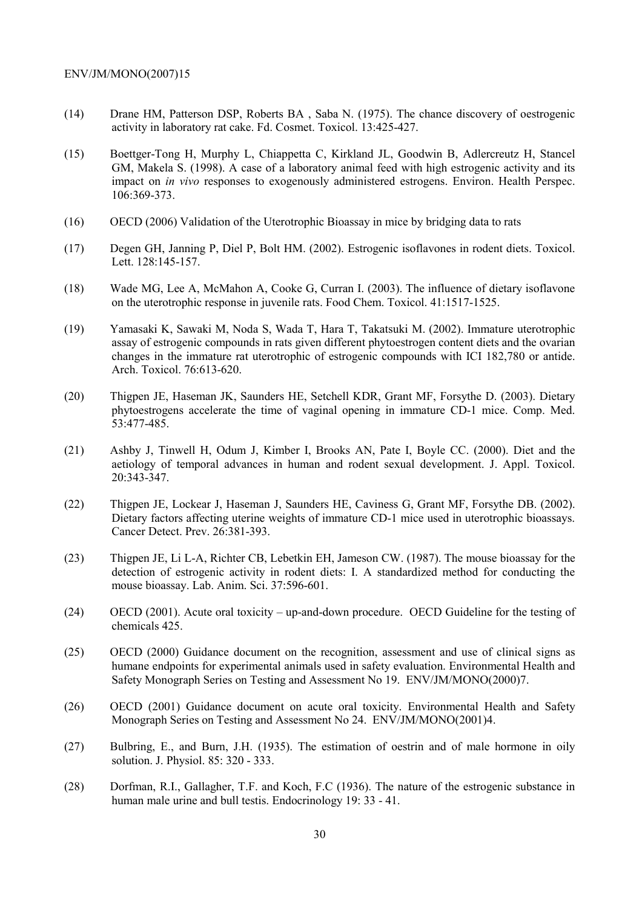- (14) Drane HM, Patterson DSP, Roberts BA , Saba N. (1975). The chance discovery of oestrogenic activity in laboratory rat cake. Fd. Cosmet. Toxicol. 13:425-427.
- (15) Boettger-Tong H, Murphy L, Chiappetta C, Kirkland JL, Goodwin B, Adlercreutz H, Stancel GM, Makela S. (1998). A case of a laboratory animal feed with high estrogenic activity and its impact on *in vivo* responses to exogenously administered estrogens. Environ. Health Perspec. 106:369-373.
- (16) OECD (2006) Validation of the Uterotrophic Bioassay in mice by bridging data to rats
- (17) Degen GH, Janning P, Diel P, Bolt HM. (2002). Estrogenic isoflavones in rodent diets. Toxicol. Lett. 128:145-157.
- (18) Wade MG, Lee A, McMahon A, Cooke G, Curran I. (2003). The influence of dietary isoflavone on the uterotrophic response in juvenile rats. Food Chem. Toxicol. 41:1517-1525.
- (19) Yamasaki K, Sawaki M, Noda S, Wada T, Hara T, Takatsuki M. (2002). Immature uterotrophic assay of estrogenic compounds in rats given different phytoestrogen content diets and the ovarian changes in the immature rat uterotrophic of estrogenic compounds with ICI 182,780 or antide. Arch. Toxicol. 76:613-620.
- (20) Thigpen JE, Haseman JK, Saunders HE, Setchell KDR, Grant MF, Forsythe D. (2003). Dietary phytoestrogens accelerate the time of vaginal opening in immature CD-1 mice. Comp. Med. 53:477-485.
- (21) Ashby J, Tinwell H, Odum J, Kimber I, Brooks AN, Pate I, Boyle CC. (2000). Diet and the aetiology of temporal advances in human and rodent sexual development. J. Appl. Toxicol. 20:343-347.
- (22) Thigpen JE, Lockear J, Haseman J, Saunders HE, Caviness G, Grant MF, Forsythe DB. (2002). Dietary factors affecting uterine weights of immature CD-1 mice used in uterotrophic bioassays. Cancer Detect. Prev. 26:381-393.
- (23) Thigpen JE, Li L-A, Richter CB, Lebetkin EH, Jameson CW. (1987). The mouse bioassay for the detection of estrogenic activity in rodent diets: I. A standardized method for conducting the mouse bioassay. Lab. Anim. Sci. 37:596-601.
- (24) OECD (2001). Acute oral toxicity up-and-down procedure. OECD Guideline for the testing of chemicals 425.
- (25) OECD (2000) Guidance document on the recognition, assessment and use of clinical signs as humane endpoints for experimental animals used in safety evaluation. Environmental Health and Safety Monograph Series on Testing and Assessment No 19. ENV/JM/MONO(2000)7.
- (26) OECD (2001) Guidance document on acute oral toxicity. Environmental Health and Safety Monograph Series on Testing and Assessment No 24. ENV/JM/MONO(2001)4.
- (27) Bulbring, E., and Burn, J.H. (1935). The estimation of oestrin and of male hormone in oily solution. J. Physiol. 85: 320 - 333.
- (28) Dorfman, R.I., Gallagher, T.F. and Koch, F.C (1936). The nature of the estrogenic substance in human male urine and bull testis. Endocrinology 19: 33 - 41.